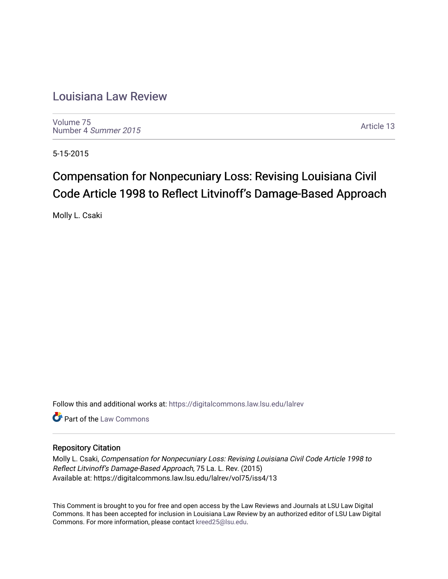# [Louisiana Law Review](https://digitalcommons.law.lsu.edu/lalrev)

[Volume 75](https://digitalcommons.law.lsu.edu/lalrev/vol75) [Number 4](https://digitalcommons.law.lsu.edu/lalrev/vol75/iss4) Summer 2015

[Article 13](https://digitalcommons.law.lsu.edu/lalrev/vol75/iss4/13) 

5-15-2015

# Compensation for Nonpecuniary Loss: Revising Louisiana Civil Code Article 1998 to Reflect Litvinoff's Damage-Based Approach

Molly L. Csaki

Follow this and additional works at: [https://digitalcommons.law.lsu.edu/lalrev](https://digitalcommons.law.lsu.edu/lalrev?utm_source=digitalcommons.law.lsu.edu%2Flalrev%2Fvol75%2Fiss4%2F13&utm_medium=PDF&utm_campaign=PDFCoverPages)

**C** Part of the [Law Commons](http://network.bepress.com/hgg/discipline/578?utm_source=digitalcommons.law.lsu.edu%2Flalrev%2Fvol75%2Fiss4%2F13&utm_medium=PDF&utm_campaign=PDFCoverPages)

# Repository Citation

Molly L. Csaki, Compensation for Nonpecuniary Loss: Revising Louisiana Civil Code Article 1998 to Reflect Litvinoff's Damage-Based Approach, 75 La. L. Rev. (2015) Available at: https://digitalcommons.law.lsu.edu/lalrev/vol75/iss4/13

This Comment is brought to you for free and open access by the Law Reviews and Journals at LSU Law Digital Commons. It has been accepted for inclusion in Louisiana Law Review by an authorized editor of LSU Law Digital Commons. For more information, please contact [kreed25@lsu.edu](mailto:kreed25@lsu.edu).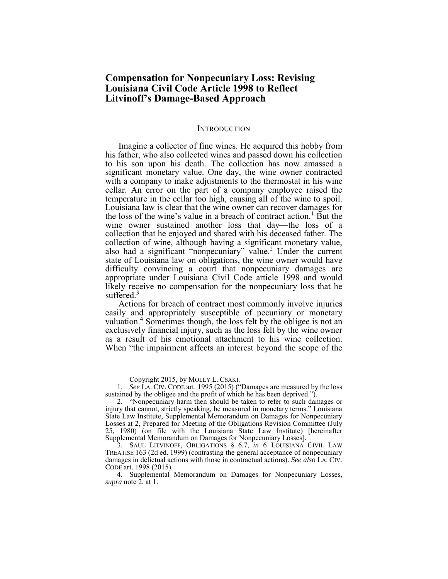# **Compensation for Nonpecuniary Loss: Revising Louisiana Civil Code Article 1998 to Reflect Litvinoff's Damage-Based Approach**

#### **INTRODUCTION**

 significant monetary value. One day, the wine owner contracted the loss of the wine's value in a breach of contract action.<sup>1</sup> But the collection that he enjoyed and shared with his deceased father. The difficulty convincing a court that nonpecuniary damages are likely receive no compensation for the nonpecuniary loss that he Imagine a collector of fine wines. He acquired this hobby from his father, who also collected wines and passed down his collection to his son upon his death. The collection has now amassed a with a company to make adjustments to the thermostat in his wine cellar. An error on the part of a company employee raised the temperature in the cellar too high, causing all of the wine to spoil. Louisiana law is clear that the wine owner can recover damages for wine owner sustained another loss that day—the loss of a collection of wine, although having a significant monetary value, also had a significant "nonpecuniary" value.<sup>2</sup> Under the current state of Louisiana law on obligations, the wine owner would have appropriate under Louisiana Civil Code article 1998 and would suffered. $3$ 

valuation.<sup>4</sup> Sometimes though, the loss felt by the obligee is not an exclusively financial injury, such as the loss felt by the wine owner as a result of his emotional attachment to his wine collection. When "the impairment affects an interest beyond the scope of the Actions for breach of contract most commonly involve injuries easily and appropriately susceptible of pecuniary or monetary

Copyright 2015, by MOLLY L. CSAKI.

 1. *See* LA. CIV. CODE art. 1995 (2015) ("Damages are measured by the loss sustained by the obligee and the profit of which he has been deprived.").

 injury that cannot, strictly speaking, be measured in monetary terms." Louisiana 25, 1980) (on file with the Louisiana State Law Institute) [hereinafter Supplemental Memorandum on Damages for Nonpecuniary Losses]. 2. "Nonpecuniary harm then should be taken to refer to such damages or State Law Institute, Supplemental Memorandum on Damages for Nonpecuniary Losses at 2, Prepared for Meeting of the Obligations Revision Committee (July

 3. SAÚL LITVINOFF, OBLIGATIONS § 6.7, *in* 6 LOUISIANA CIVIL LAW TREATISE 163 (2d ed. 1999) (contrasting the general acceptance of nonpecuniary damages in delictual actions with those in contractual actions). *See also* LA. CIV. CODE art. 1998 (2015).

 4. Supplemental Memorandum on Damages for Nonpecuniary Losses, *supra* note 2, at 1.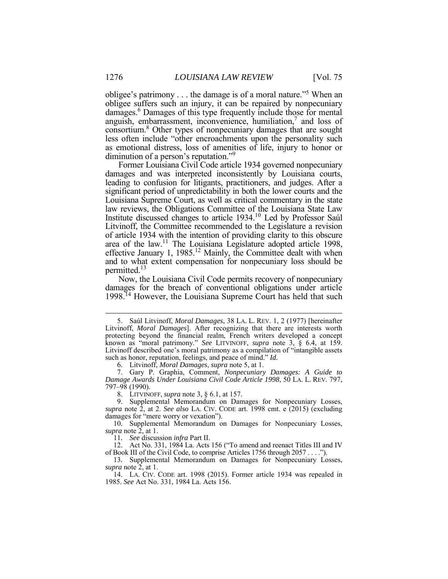obligee's patrimony . . . the damage is of a moral nature."<sup>5</sup> When an obligee suffers such an injury, it can be repaired by nonpecuniary damages.<sup>6</sup> Damages of this type frequently include those for mental anguish, embarrassment, inconvenience, humiliation, $7$  and loss of consortium.8 Other types of nonpecuniary damages that are sought less often include "other encroachments upon the personality such diminution of a person's reputation."<sup>9</sup> as emotional distress, loss of amenities of life, injury to honor or

 Former Louisiana Civil Code article 1934 governed nonpecuniary damages and was interpreted inconsistently by Louisiana courts, leading to confusion for litigants, practitioners, and judges. After a significant period of unpredictability in both the lower courts and the Louisiana Supreme Court, as well as critical commentary in the state law reviews, the Obligations Committee of the Louisiana State Law Institute discussed changes to article 1934.10 Led by Professor Saúl Litvinoff, the Committee recommended to the Legislature a revision of article 1934 with the intention of providing clarity to this obscure and to what extent compensation for nonpecuniary loss should be permitted.<sup>13</sup> area of the law.<sup>11</sup> The Louisiana Legislature adopted article 1998, effective January 1, 1985.<sup>12</sup> Mainly, the Committee dealt with when

 damages for the breach of conventional obligations under article Now, the Louisiana Civil Code permits recovery of nonpecuniary 1998.14 However, the Louisiana Supreme Court has held that such

<sup>5.</sup> Saúl Litvinoff, *Moral Damages*, 38 LA. L. REV. 1, 2 (1977) [hereinafter Litvinoff, *Moral Damages*]. After recognizing that there are interests worth protecting beyond the financial realm, French writers developed a concept known as "moral patrimony." *See* LITVINOFF, *supra* note 3, § 6.4, at 159. Litvinoff described one's moral patrimony as a compilation of "intangible assets such as honor, reputation, feelings, and peace of mind." *Id.* 

<sup>6.</sup> Litvinoff, *Moral Damages*, *supra* note 5, at 1.

 *Damage Awards Under Louisiana Civil Code Article 1998*, 50 LA. L. REV. 797, 7. Gary P. Graphia, Comment, *Nonpecuniary Damages: A Guide to*  797–98 (1990).

 <sup>8.</sup> LITVINOFF, *supra* note 3, § 6.1, at 157.

 9. Supplemental Memorandum on Damages for Nonpecuniary Losses, *supra* note 2, at 2. *See also* LA. CIV. CODE art. 1998 cmt. e (2015) (excluding damages for "mere worry or vexation").

 10*.* Supplemental Memorandum on Damages for Nonpecuniary Losses, *supra* note 2, at 1.

<sup>11</sup>*. See* discussion *infra* Part II.

 of Book III of the Civil Code, to comprise Articles 1756 through 2057 . . . ."). 12. Act No. 331, 1984 La. Acts 156 ("To amend and reenact Titles III and IV

 13*.* Supplemental Memorandum on Damages for Nonpecuniary Losses, *supra* note 2, at 1.

 14. LA. CIV. CODE art. 1998 (2015). Former article 1934 was repealed in 1985. *See* Act No. 331, 1984 La. Acts 156.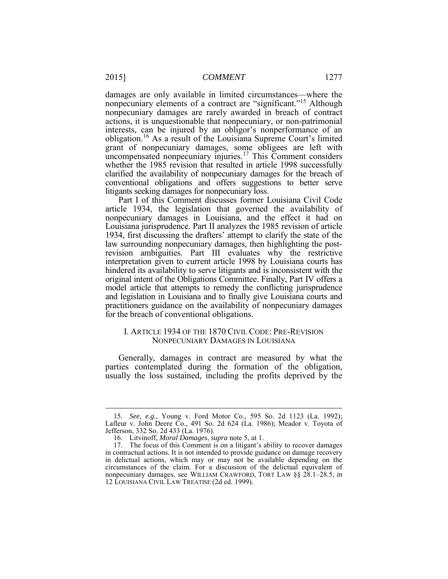damages are only available in limited circumstances—where the nonpecuniary elements of a contract are "significant."15 Although interests, can be injured by an obligor's nonperformance of an obligation.<sup>16</sup> As a result of the Louisiana Supreme Court's limited grant of nonpecuniary damages, some obligees are left with whether the 1985 revision that resulted in article 1998 successfully clarified the availability of nonpecuniary damages for the breach of conventional obligations and offers suggestions to better serve litigants seeking damages for nonpecuniary loss. nonpecuniary damages are rarely awarded in breach of contract actions, it is unquestionable that nonpecuniary, or non-patrimonial uncompensated nonpecuniary injuries.<sup>17</sup> This Comment considers

 Part I of this Comment discusses former Louisiana Civil Code article 1934, the legislation that governed the availability of Louisiana jurisprudence. Part II analyzes the 1985 revision of article 1934, first discussing the drafters' attempt to clarify the state of the interpretation given to current article 1998 by Louisiana courts has hindered its availability to serve litigants and is inconsistent with the original intent of the Obligations Committee. Finally, Part IV offers a model article that attempts to remedy the conflicting jurisprudence practitioners guidance on the availability of nonpecuniary damages for the breach of conventional obligations. nonpecuniary damages in Louisiana, and the effect it had on law surrounding nonpecuniary damages, then highlighting the postrevision ambiguities. Part III evaluates why the restrictive and legislation in Louisiana and to finally give Louisiana courts and

#### I. ARTICLE 1934 OF THE 1870 CIVIL CODE: PRE-REVISION NONPECUNIARY DAMAGES IN LOUISIANA

 Generally, damages in contract are measured by what the parties contemplated during the formation of the obligation, usually the loss sustained, including the profits deprived by the

 Lafleur v. John Deere Co., 491 So. 2d 624 (La. 1986); Meador v. Toyota of 15*. See, e.g.*, Young v. Ford Motor Co., 595 So. 2d 1123 (La. 1992); Jefferson, 332 So. 2d 433 (La. 1976).

<sup>16.</sup> Litvinoff, *Moral Damages*, *supra* note 5, at 1.

 in contractual actions. It is not intended to provide guidance on damage recovery circumstances of the claim. For a discussion of the delictual equivalent of nonpecuniary damages, see WILLIAM CRAWFORD, TORT LAW §§ 28.1–28.5, *in*  12 LOUISIANA CIVIL LAW TREATISE (2d ed. 1999).17. The focus of this Comment is on a litigant's ability to recover damages in delictual actions, which may or may not be available depending on the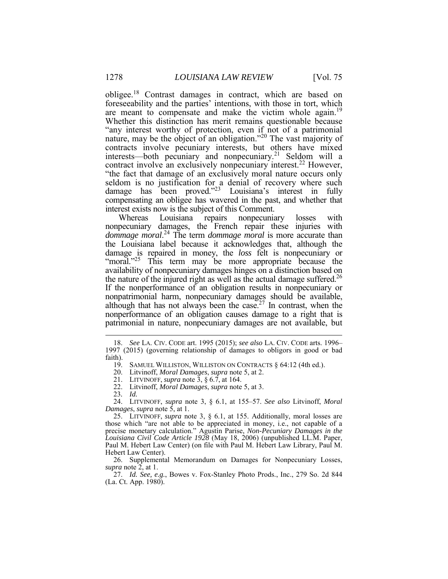obligee.<sup>18</sup> Contrast damages in contract, which are based on foreseeability and the parties' intentions, with those in tort, which are meant to compensate and make the victim whole again.<sup>19</sup> Whether this distinction has merit remains questionable because "any interest worthy of protection, even if not of a patrimonial nature, may be the object of an obligation."<sup>20</sup> The vast majority of contract involve an exclusively nonpecuniary interest.<sup>22</sup> However, seldom is no justification for a denial of recovery where such compensating an obligee has wavered in the past, and whether that interest exists now is the subject of this Comment. contracts involve pecuniary interests, but others have mixed interests—both pecuniary and nonpecuniary.<sup>21</sup> Seldom will a "the fact that damage of an exclusively moral nature occurs only damage has been proved."<sup>23</sup> Louisiana's interest in fully

 nonpecuniary damages, the French repair these injuries with *dommage moral*. 24 The term *dommage moral* is more accurate than damage is repaired in money, the *loss* felt is nonpecuniary or availability of nonpecuniary damages hinges on a distinction based on the nature of the injured right as well as the actual damage suffered.<sup>26</sup> If the nonperformance of an obligation results in nonpecuniary or nonperformance of an obligation causes damage to a right that is Whereas Louisiana repairs nonpecuniary losses with the Louisiana label because it acknowledges that, although the "moral."<sup>25</sup> This term may be more appropriate because the nonpatrimonial harm, nonpecuniary damages should be available, although that has not always been the case.<sup>27</sup> In contrast, when the patrimonial in nature, nonpecuniary damages are not available, but

 1997 (2015) (governing relationship of damages to obligors in good or bad 18. *See* LA. CIV. CODE art. 1995 (2015); *see also* LA. CIV. CODE arts. 1996– faith).

<sup>19.</sup> SAMUEL WILLISTON, WILLISTON ON CONTRACTS § 64:12 (4th ed.).

<sup>20.</sup> Litvinoff, *Moral Damages*, *supra* note 5, at 2.

 21. LITVINOFF, *supra* note 3, § 6.7, at 164.

<sup>22.</sup> Litvinoff, *Moral Damages*, *supra* note 5, at 3.

<sup>23</sup>*. Id.* 

 24. LITVINOFF, *supra* note 3, § 6.1, at 155–57. *See also* Litvinoff, *Moral Damages*, *supra* note 5, at 1.

 25. LITVINOFF, *supra* note 3, § 6.1, at 155. Additionally, moral losses are those which "are not able to be appreciated in money, i.e., not capable of a *Louisiana Civil Code Article 1928* (May 18, 2006) (unpublished LL.M. Paper, Paul M. Hebert Law Center) (on file with Paul M. Hebert Law Library, Paul M. precise monetary calculation." Agustín Parise, *Non-Pecuniary Damages in the*  Hebert Law Center).

 26. Supplemental Memorandum on Damages for Nonpecuniary Losses, *supra* note 2, at 1.

 27. *Id. See, e.g.*, Bowes v. Fox-Stanley Photo Prods., Inc., 279 So. 2d 844 (La. Ct. App. 1980).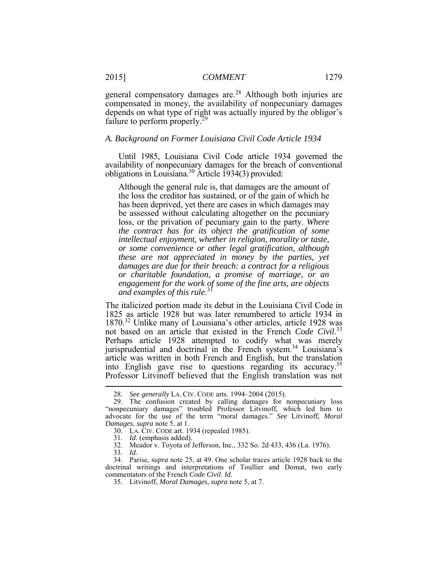compensated in money, the availability of nonpecuniary damages depends on what type of right was actually injured by the obligor's general compensatory damages are.<sup>28</sup> Although both injuries are failure to perform properly.<sup>29</sup>

#### *A. Background on Former Louisiana Civil Code Article 1934*

 Until 1985, Louisiana Civil Code article 1934 governed the availability of nonpecuniary damages for the breach of conventional obligations in Louisiana.30 Article 1934(3) provided:

 Although the general rule is, that damages are the amount of the loss the creditor has sustained, or of the gain of which he be assessed without calculating altogether on the pecuniary loss, or the privation of pecuniary gain to the party. *Where*  has been deprived, yet there are cases in which damages may *the contract has for its object the gratification of some intellectual enjoyment, whether in religion, morality or taste, or some convenience or other legal gratification, although these are not appreciated in money by the parties, yet damages are due for their breach: a contract for a religious or charitable foundation, a promise of marriage, or an engagement for the work of some of the fine arts, are objects and examples of this rule*. 31

 The italicized portion made its debut in the Louisiana Civil Code in 1825 as article 1928 but was later renumbered to article 1934 in Perhaps article 1928 attempted to codify what was merely into English gave rise to questions regarding its accuracy.<sup>35</sup> 1870.<sup>32</sup> Unlike many of Louisiana's other articles, article 1928 was not based on an article that existed in the French *Code Civil*. 33 jurisprudential and doctrinal in the French system.<sup>34</sup> Louisiana's article was written in both French and English, but the translation Professor Litvinoff believed that the English translation was not

<sup>28.</sup> *See generally* LA. CIV. CODE arts. 1994–2004 (2015).

 29. The confusion created by calling damages for nonpecuniary loss "nonpecuniary damages" troubled Professor Litvinoff, which led him to advocate for the use of the term "moral damages." *See* Litvinoff, *Moral Damages*, *supra* note 5, at 1.

 30. LA. CIV. CODE art. 1934 (repealed 1985).

<sup>31.</sup> *Id.* (emphasis added).

<sup>32.</sup> Meador v. Toyota of Jefferson, Inc., 332 So. 2d 433, 436 (La. 1976).

<sup>33.</sup> *Id.* 

 doctrinal writings and interpretations of Toullier and Domat, two early 34. Parise, *supra* note 25, at 49. One scholar traces article 1928 back to the commentators of the French *Code Civil*. *Id.* 

<sup>35.</sup> Litvinoff, *Moral Damages*, *supra* note 5, at 7.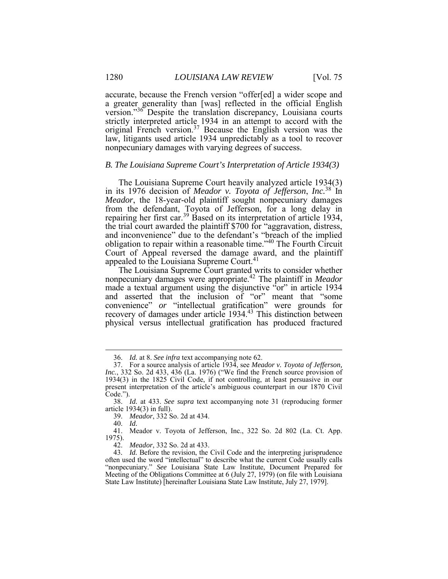Ī strictly interpreted article 1934 in an attempt to accord with the law, litigants used article 1934 unpredictably as a tool to recover accurate, because the French version "offer[ed] a wider scope and a greater generality than [was] reflected in the official English version."<sup>36</sup> Despite the translation discrepancy, Louisiana courts original French version.<sup>37</sup> Because the English version was the nonpecuniary damages with varying degrees of success.

#### *B. The Louisiana Supreme Court's Interpretation of Article 1934(3)*

 *Meador*, the 18-year-old plaintiff sought nonpecuniary damages from the defendant, Toyota of Jefferson, for a long delay in repairing her first car.<sup>39</sup> Based on its interpretation of article 1934, appealed to the Louisiana Supreme Court.<sup>41</sup> The Louisiana Supreme Court heavily analyzed article 1934(3) in its 1976 decision of *Meador v. Toyota of Jefferson*, *Inc.*38 In the trial court awarded the plaintiff \$700 for "aggravation, distress, and inconvenience" due to the defendant's "breach of the implied obligation to repair within a reasonable time."<sup>40</sup> The Fourth Circuit Court of Appeal reversed the damage award, and the plaintiff

 made a textual argument using the disjunctive "or" in article 1934 Ì The Louisiana Supreme Court granted writs to consider whether nonpecuniary damages were appropriate.42 The plaintiff in *Meador*  and asserted that the inclusion of "or" meant that "some convenience" *or* "intellectual gratification" were grounds for recovery of damages under article 1934.<sup>43</sup> This distinction between physical versus intellectual gratification has produced fractured

<sup>36.</sup> *Id.* at 8. *See infra* text accompanying note 62.

 37. For a source analysis of article 1934, see *Meador v. Toyota of Jefferson, Inc.*, 332 So. 2d 433, 436 (La. 1976) ("We find the French source provision of 1934(3) in the 1825 Civil Code, if not controlling, at least persuasive in our present interpretation of the article's ambiguous counterpart in our 1870 Civil Code.").

<sup>38.</sup> *Id.* at 433. *See supra* text accompanying note 31 (reproducing former article 1934(3) in full).

<sup>39.</sup> *Meador*, 332 So. 2d at 434.

<sup>40.</sup> *Id.* 

 41. Meador v. Toyota of Jefferson, Inc., 322 So. 2d 802 (La. Ct. App. 1975).

<sup>42.</sup> *Meador*, 332 So. 2d at 433.

 43*. Id.* Before the revision, the Civil Code and the interpreting jurisprudence often used the word "intellectual" to describe what the current Code usually calls "nonpecuniary." *See* Louisiana State Law Institute, Document Prepared for Meeting of the Obligations Committee at 6 (July 27, 1979) (on file with Louisiana State Law Institute) [hereinafter Louisiana State Law Institute, July 27, 1979].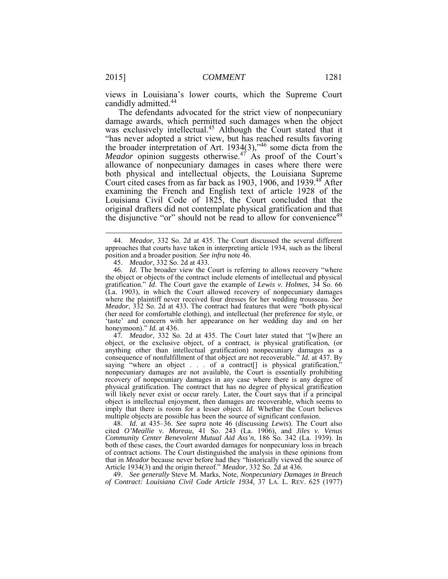views in Louisiana's lower courts, which the Supreme Court candidly admitted.<sup>44</sup>

 damage awards, which permitted such damages when the object the broader interpretation of Art. 1934(3),"<sup>46</sup> some dicta from the The defendants advocated for the strict view of nonpecuniary was exclusively intellectual.<sup>45</sup> Although the Court stated that it "has never adopted a strict view, but has reached results favoring *Meador* opinion suggests otherwise.<sup>47</sup> As proof of the Court's allowance of nonpecuniary damages in cases where there were both physical and intellectual objects, the Louisiana Supreme Court cited cases from as far back as 1903, 1906, and 1939.<sup>48</sup> After examining the French and English text of article 1928 of the Louisiana Civil Code of 1825, the Court concluded that the original drafters did not contemplate physical gratification and that the disjunctive "or" should not be read to allow for convenience<sup>49</sup>

 consequence of nonfulfillment of that object are not recoverable." *Id.* at 437. By nonpecuniary damages are not available, the Court is essentially prohibiting recovery of nonpecuniary damages in any case where there is any degree of physical gratification. The contract that has no degree of physical gratification will likely never exist or occur rarely. Later, the Court says that if a principal object is intellectual enjoyment, then damages are recoverable, which seems to multiple objects are possible has been the source of significant confusion. 47. *Meador*, 332 So. 2d at 435. The Court later stated that "[w]here an object, or the exclusive object, of a contract, is physical gratification, (or anything other than intellectual gratification) nonpecuniary damages as a saying "where an object . . . of a contract[] is physical gratification," imply that there is room for a lesser object. *Id.* Whether the Court believes

 48. *Id.* at 435–36. *See supra* note 46 (discussing *Lewis*). The Court also both of these cases, the Court awarded damages for nonpecuniary loss in breach of contract actions. The Court distinguished the analysis in these opinions from that in *Meador* because never before had they "historically viewed the source of cited *O'Meallie v. Moreau*, 41 So. 243 (La. 1906), and *Jiles v. Venus Community Center Benevolent Mutual Aid Ass'n*, 186 So. 342 (La. 1939). In Article 1934(3) and the origin thereof." *Meador*, 332 So. 2d at 436.

 *of Contract: Louisiana Civil Code Article 1934*, 37 LA. L. REV. 625 (1977)49. *See generally* Steve M. Marks, Note, *Nonpecuniary Damages in Breach* 

 approaches that courts have taken in interpreting article 1934, such as the liberal 44. *Meador*, 332 So. 2d at 435. The Court discussed the several different position and a broader position. *See infra* note 46.

<sup>45.</sup> *Meador*, 332 So. 2d at 433.

 46. *Id*. The broader view the Court is referring to allows recovery "where the object or objects of the contract include elements of intellectual and physical gratification." *Id*. The Court gave the example of *Lewis v. Holmes*, 34 So. 66 (La. 1903), in which the Court allowed recovery of nonpecuniary damages where the plaintiff never received four dresses for her wedding trousseau. *See Meador*, 332 So. 2d at 433*.* The contract had features that were "both physical (her need for comfortable clothing), and intellectual (her preference for style, or 'taste' and concern with her appearance on her wedding day and on her honeymoon)." *Id.* at 436.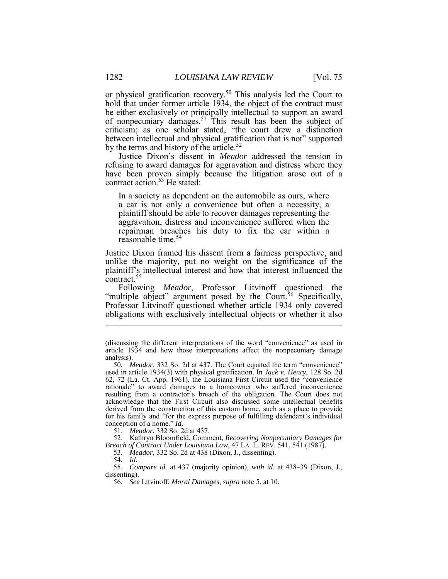hold that under former article 1934, the object of the contract must criticism; as one scholar stated, "the court drew a distinction or physical gratification recovery.50 This analysis led the Court to be either exclusively or principally intellectual to support an award of nonpecuniary damages.<sup>51</sup> This result has been the subject of between intellectual and physical gratification that is not" supported by the terms and history of the article.<sup>52</sup>

 Justice Dixon's dissent in *Meador* addressed the tension in refusing to award damages for aggravation and distress where they have been proven simply because the litigation arose out of a contract action.<sup>53</sup> He stated:

 In a society as dependent on the automobile as ours, where a car is not only a convenience but often a necessity, a plaintiff should be able to recover damages representing the repairman breaches his duty to fix the car within a aggravation, distress and inconvenience suffered when the reasonable time.<sup>54</sup>

 Justice Dixon framed his dissent from a fairness perspective, and unlike the majority, put no weight on the significance of the plaintiff's intellectual interest and how that interest influenced the  $\frac{1}{2}$ contract.<sup>55</sup>

"multiple object" argument posed by the Court.<sup>56</sup> Specifically, Following *Meador*, Professor Litvinoff questioned the Professor Litvinoff questioned whether article 1934 only covered obligations with exclusively intellectual objects or whether it also

 (discussing the different interpretations of the word "convenience" as used in article 1934 and how those interpretations affect the nonpecuniary damage analysis).

 50. *Meador*, 332 So. 2d at 437. The Court equated the term "convenience" used in article 1934(3) with physical gratification. In *Jack v. Henry*, 128 So. 2d 62, 72 (La. Ct. App. 1961), the Louisiana First Circuit used the "convenience resulting from a contractor's breach of the obligation. The Court does not acknowledge that the First Circuit also discussed some intellectual benefits for his family and "for the express purpose of fulfilling defendant's individual rationale" to award damages to a homeowner who suffered inconvenience derived from the construction of this custom home, such as a place to provide conception of a home." *Id.* 

<sup>51.</sup> *Meador*, 332 So. 2d at 437.

<sup>52.</sup> Kathryn Bloomfield, Comment, *Recovering Nonpecuniary Damages for Breach of Contract Under Louisiana Law*, 47 LA. L. REV. 541, 541 (1987).

<sup>53.</sup> *Meador*, 332 So. 2d at 438 (Dixon, J., dissenting).

 54. *Id.* 

 55. *Compare id.* at 437 (majority opinion), *with id.* at 438–39 (Dixon, J., dissenting).

<sup>56.</sup> *See* Litvinoff, *Moral Damages*, *supra* note 5, at 10.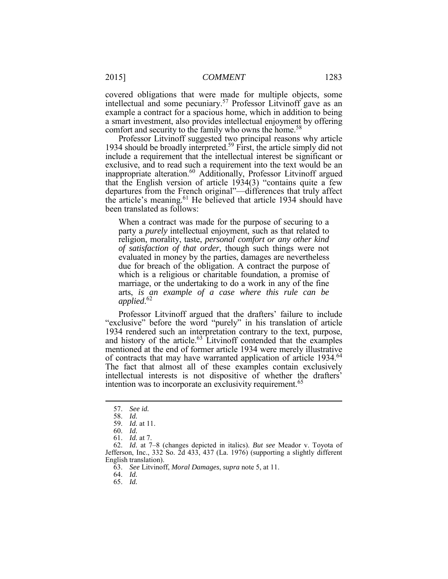covered obligations that were made for multiple objects, some example a contract for a spacious home, which in addition to being intellectual and some pecuniary.<sup>57</sup> Professor Litvinoff gave as an a smart investment, also provides intellectual enjoyment by offering comfort and security to the family who owns the home.<sup>58</sup>

1934 should be broadly interpreted.<sup>59</sup> First, the article simply did not include a requirement that the intellectual interest be significant or exclusive, and to read such a requirement into the text would be an inappropriate alteration.<sup>60</sup> Additionally, Professor Litvinoff argued that the English version of article 1934(3) "contains quite a few departures from the French original"—differences that truly affect the article's meaning.<sup>61</sup> He believed that article 1934 should have Professor Litvinoff suggested two principal reasons why article been translated as follows:

 When a contract was made for the purpose of securing to a party a *purely* intellectual enjoyment, such as that related to *of satisfaction of that order*, though such things were not evaluated in money by the parties, damages are nevertheless due for breach of the obligation. A contract the purpose of marriage, or the undertaking to do a work in any of the fine religion, morality, taste, *personal comfort or any other kind* which is a religious or charitable foundation, a promise of arts, *is an example of a case where this rule can be applied*. 62

 Professor Litvinoff argued that the drafters' failure to include and history of the article.<sup>63</sup> Litvinoff contended that the examples The fact that almost all of these examples contain exclusively "exclusive" before the word "purely" in his translation of article 1934 rendered such an interpretation contrary to the text, purpose, mentioned at the end of former article 1934 were merely illustrative of contracts that may have warranted application of article 1934.64 intellectual interests is not dispositive of whether the drafters' intention was to incorporate an exclusivity requirement.<sup>65</sup>

 $\overline{a}$ 

64. *Id.* 

<sup>57.</sup> *See id.* 

<sup>58.</sup> *Id.* 

<sup>59.</sup> *Id.* at 11.

<sup>60.</sup> *Id.* 

<sup>61.</sup> *Id.* at 7.

 62. *Id.* at 7–8 (changes depicted in italics). *But see* Meador v. Toyota of Jefferson, Inc., 332 So. 2d 433, 437 (La. 1976) (supporting a slightly different English translation).

<sup>63.</sup> *See* Litvinoff, *Moral Damages*, *supra* note 5, at 11.

<sup>65.</sup> *Id.*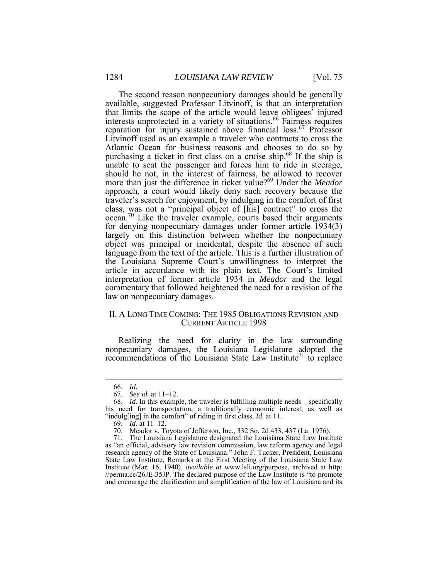available, suggested Professor Litvinoff, is that an interpretation that limits the scope of the article would leave obligees' injured interests unprotected in a variety of situations.<sup>66</sup> Fairness requires reparation for injury sustained above financial loss.<sup>67</sup> Professor purchasing a ticket in first class on a cruise ship.<sup>68</sup> If the ship is unable to seat the passenger and forces him to ride in steerage, should he not, in the interest of fairness, be allowed to recover more than just the difference in ticket value?<sup>69</sup> Under the *Meador*  approach, a court would likely deny such recovery because the traveler's search for enjoyment, by indulging in the comfort of first class, was not a "principal object of [his] contract" to cross the ocean.<sup>70</sup> Like the traveler example, courts based their arguments object was principal or incidental, despite the absence of such language from the text of the article. This is a further illustration of the Louisiana Supreme Court's unwillingness to interpret the interpretation of former article 1934 in *Meador* and the legal The second reason nonpecuniary damages should be generally Litvinoff used as an example a traveler who contracts to cross the Atlantic Ocean for business reasons and chooses to do so by for denying nonpecuniary damages under former article 1934(3) largely on this distinction between whether the nonpecuniary article in accordance with its plain text. The Court's limited commentary that followed heightened the need for a revision of the law on nonpecuniary damages.

#### II. A LONG TIME COMING: THE 1985 OBLIGATIONS REVISION AND CURRENT ARTICLE 1998

 Realizing the need for clarity in the law surrounding nonpecuniary damages, the Louisiana Legislature adopted the recommendations of the Louisiana State Law Institute<sup>71</sup> to replace

<sup>66.</sup> *Id.* 

<sup>67.</sup> *See id.* at 11–12.

 his need for transportation, a traditionally economic interest, as well as 68. *Id.* In this example, the traveler is fulfilling multiple needs—specifically "indulg[ing] in the comfort" of riding in first class. *Id.* at 11.

 69. *Id.* at 11–12.

<sup>70.</sup> Meador v. Toyota of Jefferson, Inc., 332 So. 2d 433, 437 (La. 1976).

 as "an official, advisory law revision commission, law reform agency and legal research agency of the State of Louisiana." John F. Tucker, President, Louisiana Institute (Mar. 16, 1940), *available at* www.lsli.org/purpose, archived at http: and encourage the clarification and simplification of the law of Louisiana and its71. The Louisiana Legislature designated the Louisiana State Law Institute State Law Institute, Remarks at the First Meeting of the Louisiana State Law //perma.cc/26JE-35JP. The declared purpose of the Law Institute is "to promote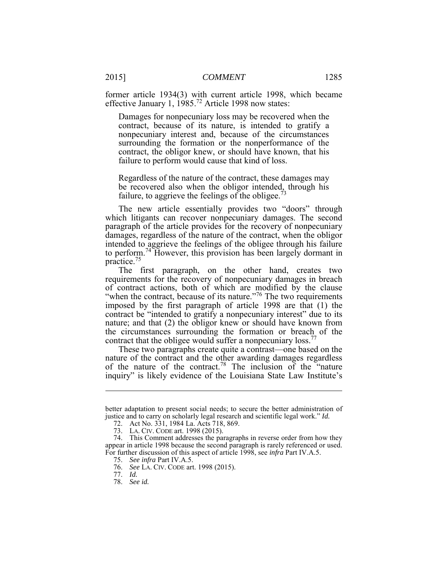former article 1934(3) with current article 1998, which became effective January 1,  $1985.<sup>72</sup>$  Article 1998 now states:

 Damages for nonpecuniary loss may be recovered when the contract, because of its nature, is intended to gratify a nonpecuniary interest and, because of the circumstances surrounding the formation or the nonperformance of the contract, the obligor knew, or should have known, that his failure to perform would cause that kind of loss.

Regardless of the nature of the contract, these damages may be recovered also when the obligor intended, through his failure, to aggrieve the feelings of the obligee.<sup>73</sup>

 The new article essentially provides two "doors" through damages, regardless of the nature of the contract, when the obligor intended to aggrieve the feelings of the obligee through his failure to perform.74 However, this provision has been largely dormant in practice.<sup>75</sup> which litigants can recover nonpecuniary damages. The second paragraph of the article provides for the recovery of nonpecuniary

 requirements for the recovery of nonpecuniary damages in breach of contract actions, both of which are modified by the clause nature; and that (2) the obligor knew or should have known from contract that the obligee would suffer a nonpecuniary loss.<sup>77</sup> The first paragraph, on the other hand, creates two "when the contract, because of its nature."<sup>76</sup> The two requirements imposed by the first paragraph of article 1998 are that (1) the contract be "intended to gratify a nonpecuniary interest" due to its the circumstances surrounding the formation or breach of the

 nature of the contract and the other awarding damages regardless These two paragraphs create quite a contrast—one based on the of the nature of the contract.<sup>78</sup> The inclusion of the "nature inquiry" is likely evidence of the Louisiana State Law Institute's

 better adaptation to present social needs; to secure the better administration of justice and to carry on scholarly legal research and scientific legal work." *Id.* 

 72. Act No. 331, 1984 La. Acts 718, 869.

 73. LA. CIV. CODE art. 1998 (2015).

 appear in article 1998 because the second paragraph is rarely referenced or used. 74. This Comment addresses the paragraphs in reverse order from how they For further discussion of this aspect of article 1998, see *infra* Part IV.A.5.

<sup>75.</sup> *See infra* Part IV.A.5.

 76. *See* LA. CIV. CODE art. 1998 (2015).

<sup>77.</sup> *Id.* 

<sup>78.</sup> *See id.*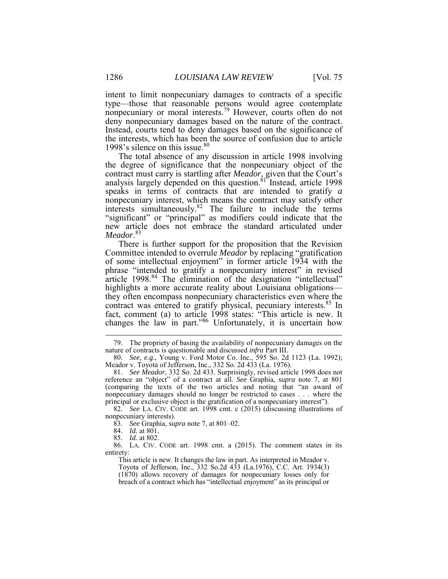nonpecuniary or moral interests.<sup>79</sup> However, courts often do not 1998's silence on this issue.<sup>80</sup> intent to limit nonpecuniary damages to contracts of a specific type—those that reasonable persons would agree contemplate deny nonpecuniary damages based on the nature of the contract. Instead, courts tend to deny damages based on the significance of the interests, which has been the source of confusion due to article

 The total absence of any discussion in article 1998 involving the degree of significance that the nonpecuniary object of the contract must carry is startling after *Meador*, given that the Court's speaks in terms of contracts that are intended to gratify *a*  nonpecuniary interest, which means the contract may satisfy other new article does not embrace the standard articulated under analysis largely depended on this question.<sup>81</sup> Instead, article 1998 interests simultaneously.82 The failure to include the terms "significant" or "principal" as modifiers could indicate that the *Meador*.<sup>83</sup>

 Committee intended to overrule *Meador* by replacing "gratification article 1998.<sup>84</sup> The elimination of the designation "intellectual" contract was entered to gratify physical, pecuniary interests.<sup>85</sup> In changes the law in part."<sup>86</sup> Unfortunately, it is uncertain how . There is further support for the proposition that the Revision of some intellectual enjoyment" in former article 1934 with the phrase "intended to gratify a nonpecuniary interest" in revised highlights a more accurate reality about Louisiana obligations they often encompass nonpecuniary characteristics even where the fact, comment (a) to article 1998 states: "This article is new. It

 82. *See* LA. CIV. CODE art. 1998 cmt. c (2015) (discussing illustrations of nonpecuniary interests).

83. *See* Graphia, *supra* note 7, at 801–02.

84. *Id.* at 801.

1

85. *Id.* at 802.

 86. LA. CIV. CODE art. 1998 cmt. a (2015). The comment states in its entirety:

This article is new. It changes the law in part. As interpreted in Meador v.

 Toyota of Jefferson, Inc., 332 So.2d 433 (La.1976), C.C. Art. 1934(3) breach of a contract which has "intellectual enjoyment" as its principal or (1870) allows recovery of damages for nonpecuniary losses only for

<sup>79.</sup> The propriety of basing the availability of nonpecuniary damages on the nature of contracts is questionable and discussed *infra* Part III.

 80. *See, e.g.*, Young v. Ford Motor Co. Inc., 595 So. 2d 1123 (La. 1992); Meador v. Toyota of Jefferson, Inc., 332 So. 2d 433 (La. 1976).

 81. *See Meador*, 332 So. 2d 433. Surprisingly, revised article 1998 does not reference an "object" of a contract at all. *See* Graphia, *supra* note 7, at 801 (comparing the texts of the two articles and noting that "an award of principal or exclusive object is the gratification of a nonpecuniary interest"). nonpecuniary damages should no longer be restricted to cases . . . where the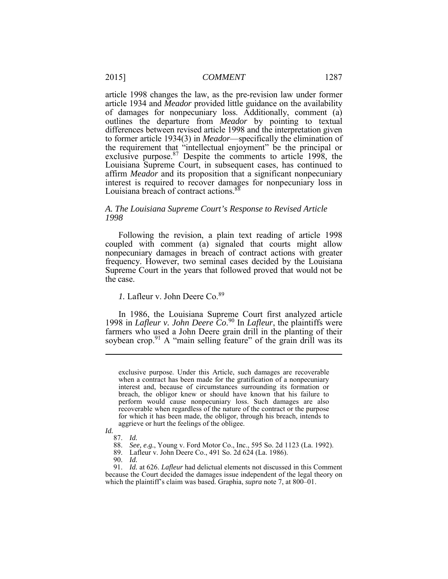article 1934 and *Meador* provided little guidance on the availability outlines the departure from *Meador* by pointing to textual to former article 1934(3) in *Meador*—specifically the elimination of the requirement that "intellectual enjoyment" be the principal or article 1998 changes the law, as the pre-revision law under former of damages for nonpecuniary loss. Additionally, comment (a) differences between revised article 1998 and the interpretation given exclusive purpose. $87$  Despite the comments to article 1998, the Louisiana Supreme Court, in subsequent cases, has continued to affirm *Meador* and its proposition that a significant nonpecuniary interest is required to recover damages for nonpecuniary loss in Louisiana breach of contract actions.<sup>88</sup>

#### *A. The Louisiana Supreme Court's Response to Revised Article 1998*

 Following the revision, a plain text reading of article 1998 nonpecuniary damages in breach of contract actions with greater frequency. However, two seminal cases decided by the Louisiana Supreme Court in the years that followed proved that would not be the case. coupled with comment (a) signaled that courts might allow

# *1.* Lafleur v. John Deere Co.<sup>89</sup>

 farmers who used a John Deere grain drill in the planting of their In 1986, the Louisiana Supreme Court first analyzed article 1998 in *Lafleur v. John Deere Co*. 90 In *Lafleur*, the plaintiffs were soybean crop.<sup>91</sup> A "main selling feature" of the grain drill was its

 exclusive purpose. Under this Article, such damages are recoverable when a contract has been made for the gratification of a nonpecuniary breach, the obligor knew or should have known that his failure to perform would cause nonpecuniary loss. Such damages are also recoverable when regardless of the nature of the contract or the purpose for which it has been made, the obligor, through his breach, intends to aggrieve or hurt the feelings of the obligee. interest and, because of circumstances surrounding its formation or

*Id.* 

<sup>87.</sup> *Id.* 

 88. *See, e.g.*, Young v. Ford Motor Co., Inc., 595 So. 2d 1123 (La. 1992).

<sup>89.</sup> Lafleur v. John Deere Co., 491 So. 2d 624 (La. 1986).

 90. *Id.* 

 which the plaintiff's claim was based. Graphia, *supra* note 7, at 800–01.91. *Id.* at 626. *Lafleur* had delictual elements not discussed in this Comment because the Court decided the damages issue independent of the legal theory on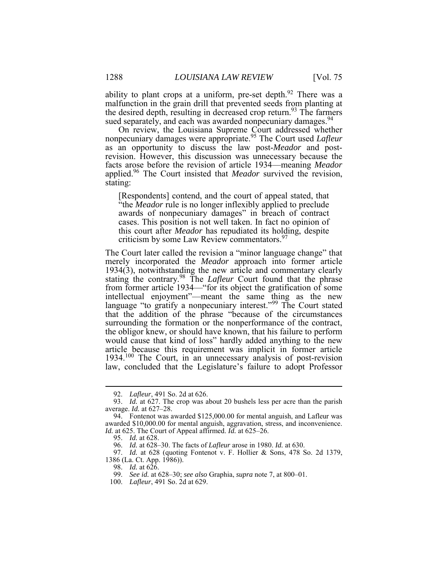malfunction in the grain drill that prevented seeds from planting at ability to plant crops at a uniform, pre-set depth.<sup>92</sup> There was a the desired depth, resulting in decreased crop return.<sup>93</sup> The farmers sued separately, and each was awarded nonpecuniary damages.<sup>94</sup>

 as an opportunity to discuss the law post-*Meador* and post- revision. However, this discussion was unnecessary because the facts arose before the revision of article 1934—meaning *Meador*  stating: On review, the Louisiana Supreme Court addressed whether nonpecuniary damages were appropriate.<sup>95</sup> The Court used *Lafleur*  applied.<sup>96</sup> The Court insisted that *Meador* survived the revision,

 "the *Meador* rule is no longer inflexibly applied to preclude awards of nonpecuniary damages" in breach of contract cases. This position is not well taken. In fact no opinion of [Respondents] contend, and the court of appeal stated, that this court after *Meador* has repudiated its holding, despite criticism by some Law Review commentators.<sup>97</sup>

 The Court later called the revision a "minor language change" that stating the contrary.98 The *Lafleur* Court found that the phrase article because this requirement was implicit in former article 1934.<sup>100</sup> The Court, in an unnecessary analysis of post-revision merely incorporated the *Meador* approach into former article 1934(3), notwithstanding the new article and commentary clearly from former article 1934—"for its object the gratification of some intellectual enjoyment"—meant the same thing as the new language "to gratify a nonpecuniary interest."<sup>99</sup> The Court stated that the addition of the phrase "because of the circumstances surrounding the formation or the nonperformance of the contract, the obligor knew, or should have known, that his failure to perform would cause that kind of loss" hardly added anything to the new law, concluded that the Legislature's failure to adopt Professor

<sup>92.</sup> *Lafleur*, 491 So. 2d at 626.

<sup>93.</sup> *Id.* at 627. The crop was about 20 bushels less per acre than the parish average. *Id.* at 627–28.

 94. Fontenot was awarded \$125,000.00 for mental anguish, and Lafleur was awarded \$10,000.00 for mental anguish, aggravation, stress, and inconvenience. *Id.* at 625. The Court of Appeal affirmed. *Id.* at 625–26.

 95. *Id.* at 628.

 96. *Id.* at 628–30. The facts of *Lafleur* arose in 1980. *Id.* at 630.

 97. *Id.* at 628 (quoting Fontenot v. F. Hollier & Sons, 478 So. 2d 1379, 1386 (La. Ct. App. 1986)).

 98. *Id.* at 626.

<sup>99.</sup> *See id.* at 628–30; *see also* Graphia, *supra* note 7, at 800–01.

<sup>100.</sup> *Lafleur*, 491 So. 2d at 629.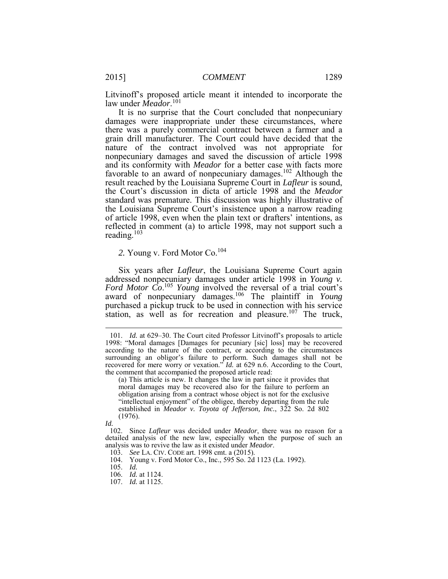Litvinoff's proposed article meant it intended to incorporate the law under *Meador*. 101

 there was a purely commercial contract between a farmer and a grain drill manufacturer. The Court could have decided that the nonpecuniary damages and saved the discussion of article 1998 and its conformity with *Meador* for a better case with facts more result reached by the Louisiana Supreme Court in *Lafleur* is sound, the Court's discussion in dicta of article 1998 and the *Meador*  reading.<sup>103</sup> It is no surprise that the Court concluded that nonpecuniary damages were inappropriate under these circumstances, where nature of the contract involved was not appropriate for favorable to an award of nonpecuniary damages.102 Although the standard was premature. This discussion was highly illustrative of the Louisiana Supreme Court's insistence upon a narrow reading of article 1998, even when the plain text or drafters' intentions, as reflected in comment (a) to article 1998, may not support such a

*2.* Young v. Ford Motor Co.<sup>104</sup>

 Six years after *Lafleur*, the Louisiana Supreme Court again Ford Motor Co.<sup>105</sup> Young involved the reversal of a trial court's award of nonpecuniary damages.<sup>106</sup> The plaintiff in *Young*  purchased a pickup truck to be used in connection with his service addressed nonpecuniary damages under article 1998 in *Young v.*  station, as well as for recreation and pleasure.<sup>107</sup> The truck,

*Id.* 

 $\overline{a}$ 

 according to the nature of the contract, or according to the circumstances 101. *Id.* at 629–30. The Court cited Professor Litvinoff's proposals to article 1998: "Moral damages [Damages for pecuniary [sic] loss] may be recovered surrounding an obligor's failure to perform. Such damages shall not be recovered for mere worry or vexation." *Id.* at 629 n.6. According to the Court, the comment that accompanied the proposed article read:

 (a) This article is new. It changes the law in part since it provides that moral damages may be recovered also for the failure to perform an established in *Meador v. Toyota of Jefferson, Inc.*, 322 So. 2d 802 obligation arising from a contract whose object is not for the exclusive "intellectual enjoyment" of the obligee, thereby departing from the rule (1976).

 102. Since *Lafleur* was decided under *Meador*, there was no reason for a detailed analysis of the new law, especially when the purpose of such an analysis was to revive the law as it existed under *Meador*.

 103. *See* LA. CIV. CODE art. 1998 cmt. a (2015).

<sup>104.</sup> Young v. Ford Motor Co., Inc., 595 So. 2d 1123 (La. 1992).

 $105.$  *Id.* 

<sup>105.</sup> *Id.* 106. *Id.* at 1124.

<sup>107.</sup> *Id.* at 1125.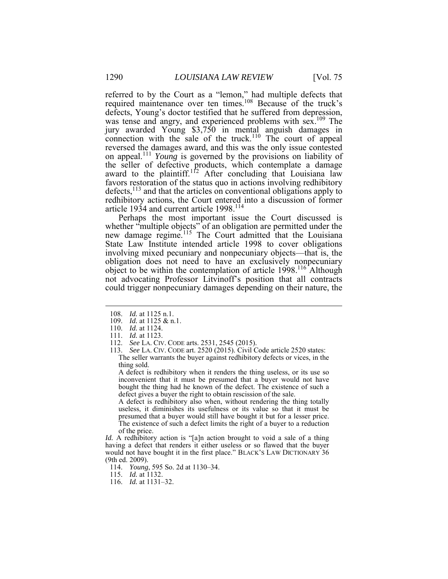defects, Young's doctor testified that he suffered from depression, was tense and angry, and experienced problems with sex.<sup>109</sup> The on appeal.<sup>111</sup> *Young* is governed by the provisions on liability of referred to by the Court as a "lemon," had multiple defects that required maintenance over ten times.<sup>108</sup> Because of the truck's jury awarded Young \$3,750 in mental anguish damages in connection with the sale of the truck.<sup>110</sup> The court of appeal reversed the damages award, and this was the only issue contested the seller of defective products, which contemplate a damage award to the plaintiff.<sup>112</sup> After concluding that Louisiana law favors restoration of the status quo in actions involving redhibitory defects,113 and that the articles on conventional obligations apply to redhibitory actions, the Court entered into a discussion of former article 1934 and current article 1998.<sup>114</sup>

 Perhaps the most important issue the Court discussed is whether "multiple objects" of an obligation are permitted under the new damage regime.<sup>115</sup> The Court admitted that the Louisiana object to be within the contemplation of article 1998.<sup>116</sup> Although State Law Institute intended article 1998 to cover obligations involving mixed pecuniary and nonpecuniary objects—that is, the obligation does not need to have an exclusively nonpecuniary not advocating Professor Litvinoff's position that all contracts could trigger nonpecuniary damages depending on their nature, the

 $\overline{a}$ 

 A defect is redhibitory when it renders the thing useless, or its use so inconvenient that it must be presumed that a buyer would not have bought the thing had he known of the defect. The existence of such a defect gives a buyer the right to obtain rescission of the sale.

 A defect is redhibitory also when, without rendering the thing totally useless, it diminishes its usefulness or its value so that it must be The existence of such a defect limits the right of a buyer to a reduction presumed that a buyer would still have bought it but for a lesser price. of the price.

 *Id.* A redhibitory action is "[a]n action brought to void a sale of a thing having a defect that renders it either useless or so flawed that the buyer would not have bought it in the first place." BLACK'S LAW DICTIONARY 36 (9th ed. 2009).

- 114. *Young*, 595 So. 2d at 1130–34.
- 115. *Id.* at 1132.
- 116. *Id.* at 1131–32.

<sup>108.</sup> *Id.* at 1125 n.1.

<sup>109.</sup> *Id.* at 1125 & n.1.

<sup>110.</sup> *Id.* at 1124.

<sup>111.</sup> *Id.* at 1123.

<sup>112.</sup> *See* LA. CIV. CODE arts. 2531, 2545 (2015).

 The seller warrants the buyer against redhibitory defects or vices, in the 113. *See* LA. CIV. CODE art. 2520 (2015). Civil Code article 2520 states: thing sold.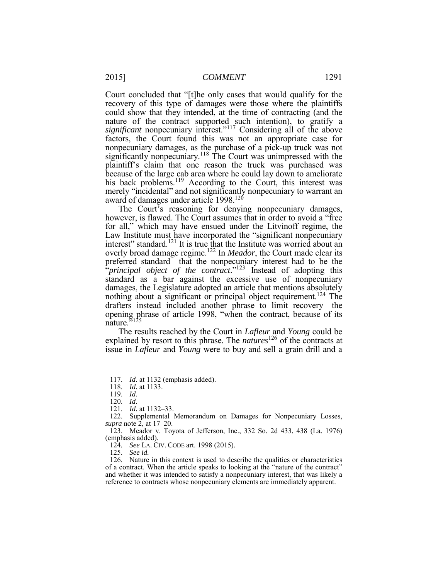recovery of this type of damages were those where the plaintiffs could show that they intended, at the time of contracting (and the because of the large cab area where he could lay down to ameliorate his back problems.<sup>119</sup> According to the Court, this interest was merely "incidental" and not significantly nonpecuniary to warrant an Court concluded that "[t]he only cases that would qualify for the nature of the contract supported such intention), to gratify a *significant* nonpecuniary interest."117 Considering all of the above factors, the Court found this was not an appropriate case for nonpecuniary damages, as the purchase of a pick-up truck was not significantly nonpecuniary.<sup>118</sup> The Court was unimpressed with the plaintiff's claim that one reason the truck was purchased was award of damages under article 1998.<sup>120</sup>

The Court's reasoning for denying nonpecuniary damages, however, is flawed. The Court assumes that in order to avoid a "free for all," which may have ensued under the Litvinoff regime, the overly broad damage regime.<sup>122</sup> In *Meador*, the Court made clear its preferred standard—that the nonpecuniary interest had to be the "*principal object of the contract*."123 Instead of adopting this standard as a bar against the excessive use of nonpecuniary nothing about a significant or principal object requirement.<sup>124</sup> The drafters instead included another phrase to limit recovery—the opening phrase of article 1998, "when the contract, because of its Law Institute must have incorporated the "significant nonpecuniary interest" standard.<sup>121</sup> It is true that the Institute was worried about an damages, the Legislature adopted an article that mentions absolutely nature."<sup>125</sup>

 The results reached by the Court in *Lafleur* and *Young* could be issue in *Lafleur* and *Young* were to buy and sell a grain drill and a explained by resort to this phrase. The *natures*<sup>126</sup> of the contracts at

<u>.</u>

121. *Id.* at 1132–33.

124*. See* LA. CIV. CODE art. 1998 (2015).

125. *See id.* 

 126. Nature in this context is used to describe the qualities or characteristics of a contract. When the article speaks to looking at the "nature of the contract" and whether it was intended to satisfy a nonpecuniary interest, that was likely a reference to contracts whose nonpecuniary elements are immediately apparent.

<sup>117.</sup> *Id.* at 1132 (emphasis added).

<sup>118.</sup> *Id.* at 1133.

<sup>119.</sup> *Id.* 

<sup>120.</sup> *Id.* 

 *supra* note 2, at 17–20. 122. Supplemental Memorandum on Damages for Nonpecuniary Losses,

 123. Meador v. Toyota of Jefferson, Inc., 332 So. 2d 433, 438 (La. 1976) (emphasis added).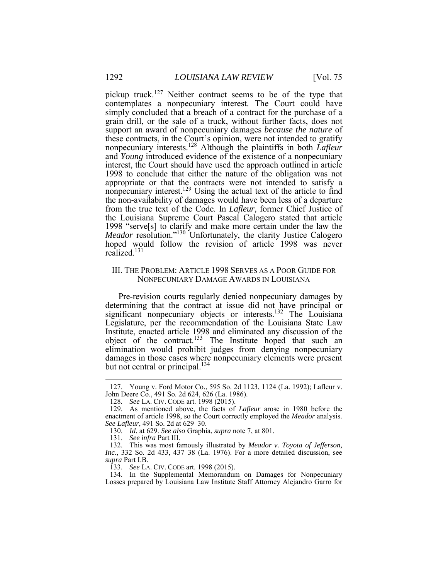pickup truck.<sup>127</sup> Neither contract seems to be of the type that simply concluded that a breach of a contract for the purchase of a grain drill, or the sale of a truck, without further facts, does not from the true text of the Code. In *Lafleur*, former Chief Justice of the Louisiana Supreme Court Pascal Calogero stated that article 1998 "serve[s] to clarify and make more certain under the law the *Meador* resolution."130 Unfortunately, the clarity Justice Calogero hoped would follow the revision of article 1998 was never contemplates a nonpecuniary interest. The Court could have support an award of nonpecuniary damages *because the nature* of these contracts, in the Court's opinion, were not intended to gratify nonpecuniary interests.<sup>128</sup> Although the plaintiffs in both *Lafleur*  and *Young* introduced evidence of the existence of a nonpecuniary interest, the Court should have used the approach outlined in article 1998 to conclude that either the nature of the obligation was not appropriate or that the contracts were not intended to satisfy a nonpecuniary interest.<sup>129</sup> Using the actual text of the article to find the non-availability of damages would have been less of a departure realized.131

#### NONPECUNIARY DAMAGE AWARDS IN LOUISIANA III. THE PROBLEM: ARTICLE 1998 SERVES AS A POOR GUIDE FOR

 Pre-revision courts regularly denied nonpecuniary damages by Legislature, per the recommendation of the Louisiana State Law but not central or principal.<sup>134</sup> determining that the contract at issue did not have principal or significant nonpecuniary objects or interests.<sup>132</sup> The Louisiana Institute, enacted article 1998 and eliminated any discussion of the object of the contract.<sup>133</sup> The Institute hoped that such an elimination would prohibit judges from denying nonpecuniary damages in those cases where nonpecuniary elements were present

<sup>127.</sup> Young v. Ford Motor Co., 595 So. 2d 1123, 1124 (La. 1992); Lafleur v. John Deere Co., 491 So. 2d 624, 626 (La. 1986).

 128*. See* LA. CIV. CODE art. 1998 (2015).

 enactment of article 1998, so the Court correctly employed the *Meador* analysis. 129. As mentioned above, the facts of *Lafleur* arose in 1980 before the *See Lafleur*, 491 So. 2d at 629–30.

 130. *Id.* at 629. *See also* Graphia, *supra* note 7, at 801.

<sup>131.</sup> *See infra* Part III.

 *Inc.*, 332 So. 2d 433, 437–38 (La. 1976). For a more detailed discussion, see 132. This was most famously illustrated by *Meador v. Toyota of Jefferson, supra* Part I.B.

 133. *See* LA. CIV. CODE art. 1998 (2015).

<sup>134.</sup> In the Supplemental Memorandum on Damages for Nonpecuniary Losses prepared by Louisiana Law Institute Staff Attorney Alejandro Garro for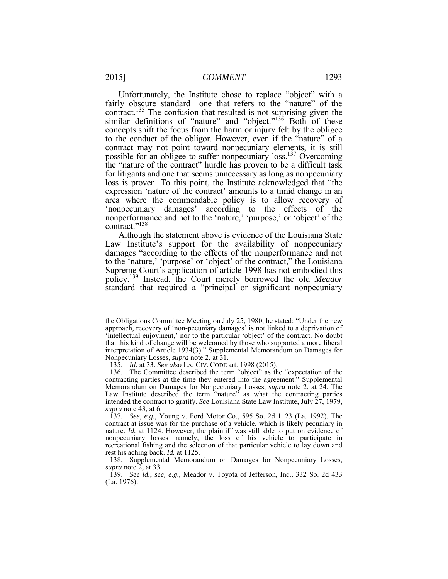Unfortunately, the Institute chose to replace "object" with a fairly obscure standard—one that refers to the "nature" of the Ì contract may not point toward nonpecuniary elements, it is still possible for an obligee to suffer nonpecuniary loss.<sup>137</sup> Overcoming expression 'nature of the contract' amounts to a timid change in an area where the commendable policy is to allow recovery of 'nonpecuniary damages' according to the effects of the nonperformance and not to the 'nature,' 'purpose,' or 'object' of the contract."138 contract.<sup>135</sup> The confusion that resulted is not surprising given the similar definitions of "nature" and "object."<sup>136</sup> Both of these concepts shift the focus from the harm or injury felt by the obligee to the conduct of the obligor. However, even if the "nature" of a the "nature of the contract" hurdle has proven to be a difficult task for litigants and one that seems unnecessary as long as nonpecuniary loss is proven. To this point, the Institute acknowledged that "the

 Although the statement above is evidence of the Louisiana State Law Institute's support for the availability of nonpecuniary policy.<sup>139</sup> Instead, the Court merely borrowed the old *Meador*  damages "according to the effects of the nonperformance and not to the 'nature,' 'purpose' or 'object' of the contract," the Louisiana Supreme Court's application of article 1998 has not embodied this standard that required a "principal or significant nonpecuniary

 the Obligations Committee Meeting on July 25, 1980, he stated: "Under the new 'intellectual enjoyment,' nor to the particular 'object' of the contract. No doubt interpretation of Article 1934(3)." Supplemental Memorandum on Damages for approach, recovery of 'non-pecuniary damages' is not linked to a deprivation of that this kind of change will be welcomed by those who supported a more liberal Nonpecuniary Losses, *supra* note 2, at 31.

<sup>135.</sup> *Id.* at 33. *See also* LA. CIV. CODE art. 1998 (2015).

 contracting parties at the time they entered into the agreement." Supplemental Memorandum on Damages for Nonpecuniary Losses, *supra* note 2, at 24. The Law Institute described the term "nature" as what the contracting parties intended the contract to gratify. *See* Louisiana State Law Institute, July 27, 1979, 136. The Committee described the term "object" as the "expectation of the *supra* note 43, at 6.

 137. *See, e.g.*, Young v. Ford Motor Co., 595 So. 2d 1123 (La. 1992). The contract at issue was for the purchase of a vehicle, which is likely pecuniary in nonpecuniary losses—namely, the loss of his vehicle to participate in recreational fishing and the selection of that particular vehicle to lay down and nature. *Id.* at 1124. However, the plaintiff was still able to put on evidence of rest his aching back. *Id.* at 1125.

 138. Supplemental Memorandum on Damages for Nonpecuniary Losses, *supra* note 2, at 33.

 139. *See id.*; *see, e.g.*, Meador v. Toyota of Jefferson, Inc., 332 So. 2d 433 (La. 1976).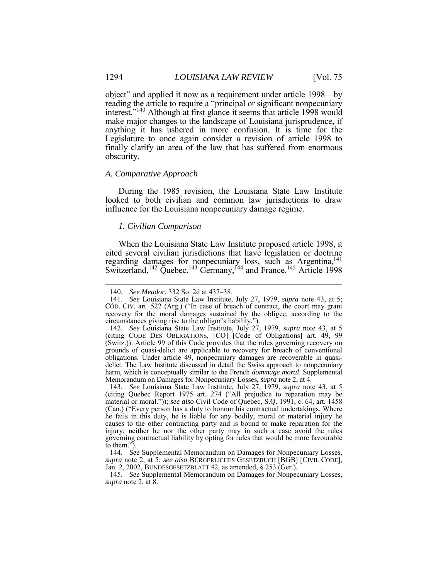object" and applied it now as a requirement under article 1998—by make major changes to the landscape of Louisiana jurisprudence, if Legislature to once again consider a revision of article 1998 to finally clarify an area of the law that has suffered from enormous reading the article to require a "principal or significant nonpecuniary interest."140 Although at first glance it seems that article 1998 would anything it has ushered in more confusion. It is time for the obscurity.

#### *A. Comparative Approach*

 During the 1985 revision, the Louisiana State Law Institute looked to both civilian and common law jurisdictions to draw influence for the Louisiana nonpecuniary damage regime.

#### *1. Civilian Comparison*

 When the Louisiana State Law Institute proposed article 1998, it regarding damages for nonpecuniary loss, such as Argentina,<sup>141</sup> cited several civilian jurisdictions that have legislation or doctrine Switzerland,<sup>142</sup> Quebec,<sup>143</sup> Germany,<sup>144</sup> and France.<sup>145</sup> Article 1998

<sup>140.</sup> *See Meador*, 332 So. 2d at 437–38.

 CÓD. CIV. art. 522 (Arg.) ("In case of breach of contract, the court may grant recovery for the moral damages sustained by the obligee, according to the circumstances giving rise to the obligor's liability."). 141. *See* Louisiana State Law Institute, July 27, 1979, *supra* note 43, at 5;

 (Switz.)). Article 99 of this Code provides that the rules governing recovery on grounds of quasi-delict are applicable to recovery for breach of conventional obligations. Under article 49, nonpecuniary damages are recoverable in quasi- delict. The Law Institute discussed in detail the Swiss approach to nonpecuniary Memorandum on Damages for Nonpecuniary Losses, *supra* note 2, at 4. 142. *See* Louisiana State Law Institute, July 27, 1979, *supra* note 43, at 5 (citing CODE DES OBLIGATIONS, [CO] [Code of Obligations] art. 49, 99 harm, which is conceptually similar to the French *dommage moral*. Supplemental

 material or moral.")); *see also* Civil Code of Quebec, S.Q. 1991, c. 64, art. 1458 (Can.) ("Every person has a duty to honour his contractual undertakings. Where he fails in this duty, he is liable for any bodily, moral or material injury he causes to the other contracting party and is bound to make reparation for the injury; neither he nor the other party may in such a case avoid the rules governing contractual liability by opting for rules that would be more favourable 143. *See* Louisiana State Law Institute, July 27, 1979, *supra* note 43, at 5 (citing Quebec Report 1975 art. 274 ("All prejudice to reparation may be to them.").

 144. *See* Supplemental Memorandum on Damages for Nonpecuniary Losses, *supra* note 2, at 5; *see also* BÜRGERLICHES GESETZBUCH [BGB] [CIVIL CODE], Jan. 2, 2002, BUNDESGESETZBLATT 42, as amended, § 253 (Ger.).

 145. *See* Supplemental Memorandum on Damages for Nonpecuniary Losses, *supra* note 2, at 8.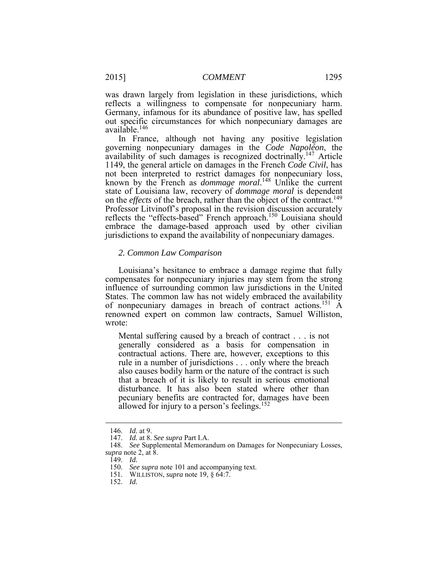was drawn largely from legislation in these jurisdictions, which reflects a willingness to compensate for nonpecuniary harm. available.<sup>146</sup> Germany, infamous for its abundance of positive law, has spelled out specific circumstances for which nonpecuniary damages are

availability of such damages is recognized doctrinally.<sup>147</sup> Article not been interpreted to restrict damages for nonpecuniary loss, known by the French as *dommage moral*. <sup>148</sup> Unlike the current embrace the damage-based approach used by other civilian In France, although not having any positive legislation governing nonpecuniary damages in the *Code Napoléon*, the 1149, the general article on damages in the French *Code Civil*, has state of Louisiana law, recovery of *dommage moral* is dependent on the *effects* of the breach, rather than the object of the contract.<sup>149</sup> Professor Litvinoff's proposal in the revision discussion accurately reflects the "effects-based" French approach.<sup>150</sup> Louisiana should jurisdictions to expand the availability of nonpecuniary damages.

#### *2. Common Law Comparison*

 Louisiana's hesitance to embrace a damage regime that fully States. The common law has not widely embraced the availability compensates for nonpecuniary injuries may stem from the strong influence of surrounding common law jurisdictions in the United of nonpecuniary damages in breach of contract actions.<sup>151</sup> A renowned expert on common law contracts, Samuel Williston, wrote:

 generally considered as a basis for compensation in rule in a number of jurisdictions . . . only where the breach that a breach of it is likely to result in serious emotional disturbance. It has also been stated where other than Mental suffering caused by a breach of contract . . . is not contractual actions. There are, however, exceptions to this also causes bodily harm or the nature of the contract is such pecuniary benefits are contracted for, damages have been allowed for injury to a person's feelings.<sup>152</sup>

<sup>146.</sup> *Id.* at 9.

<sup>147.</sup> *Id.* at 8. *See supra* Part I.A.

 148. *See* Supplemental Memorandum on Damages for Nonpecuniary Losses, *supra* note 2, at 8.

 149. *Id.* 

<sup>150.</sup> *See supra* note 101 and accompanying text.

<sup>151.</sup> WILLISTON, *supra* note 19, § 64:7.

<sup>152.</sup> *Id.*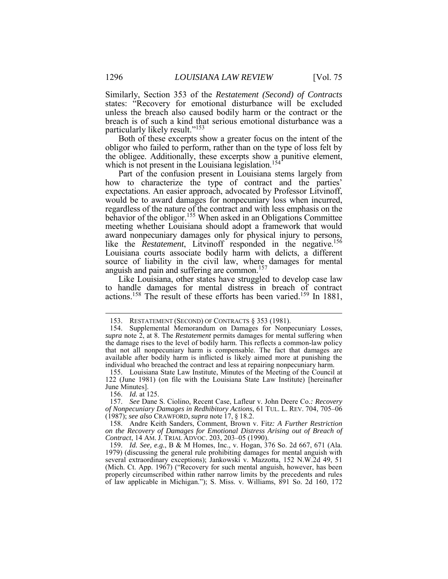states: "Recovery for emotional disturbance will be excluded unless the breach also caused bodily harm or the contract or the breach is of such a kind that serious emotional disturbance was a Similarly, Section 353 of the *Restatement (Second) of Contracts*  particularly likely result."153

 Both of these excerpts show a greater focus on the intent of the the obligee. Additionally, these excerpts show a punitive element, Ī obligor who failed to perform, rather than on the type of loss felt by which is not present in the Louisiana legislation.<sup>154</sup>

 Part of the confusion present in Louisiana stems largely from how to characterize the type of contract and the parties' would be to award damages for nonpecuniary loss when incurred, regardless of the nature of the contract and with less emphasis on the Louisiana courts associate bodily harm with delicts, a different source of liability in the civil law, where damages for mental anguish and pain and suffering are common.<sup>157</sup> expectations. An easier approach, advocated by Professor Litvinoff, behavior of the obligor.<sup>155</sup> When asked in an Obligations Committee meeting whether Louisiana should adopt a framework that would award nonpecuniary damages only for physical injury to persons, like the *Restatement*, Litvinoff responded in the negative.<sup>156</sup>

 Like Louisiana, other states have struggled to develop case law to handle damages for mental distress in breach of contract actions.<sup>158</sup> The result of these efforts has been varied.<sup>159</sup> In 1881,

156. *Id.* at 125.

 $\overline{a}$ 

<sup>153.</sup> RESTATEMENT (SECOND) OF CONTRACTS § 353 (1981).

 154. Supplemental Memorandum on Damages for Nonpecuniary Losses, *supra* note 2, at 8. The *Restatement* permits damages for mental suffering when that not all nonpecuniary harm is compensable. The fact that damages are available after bodily harm is inflicted is likely aimed more at punishing the individual who breached the contract and less at repairing nonpecuniary harm. the damage rises to the level of bodily harm. This reflects a common-law policy

 122 (June 1981) (on file with the Louisiana State Law Institute) [hereinafter 155. Louisiana State Law Institute, Minutes of the Meeting of the Council at June Minutes].

 157. *See* Dane S. Ciolino, Recent Case, Lafleur v. John Deere Co.*: Recovery of Nonpecuniary Damages in Redhibitory Actions*, 61 TUL. L. REV. 704, 705–06 (1987); *see also* CRAWFORD, *supra* note 17, § 18.2.

 *Contract*, 14 AM. J. TRIAL ADVOC. 203, 203–05 (1990). 158. Andre Keith Sanders, Comment, Brown v. Fitz*: A Further Restriction on the Recovery of Damages for Emotional Distress Arising out of Breach of*

 159. *Id. See, e.g.*, B & M Homes, Inc., v. Hogan, 376 So. 2d 667, 671 (Ala. 1979) (discussing the general rule prohibiting damages for mental anguish with (Mich. Ct. App. 1967) ("Recovery for such mental anguish, however, has been properly circumscribed within rather narrow limits by the precedents and rules several extraordinary exceptions); Jankowski v. Mazzotta, 152 N.W.2d 49, 51 of law applicable in Michigan."); S. Miss. v. Williams, 891 So. 2d 160, 172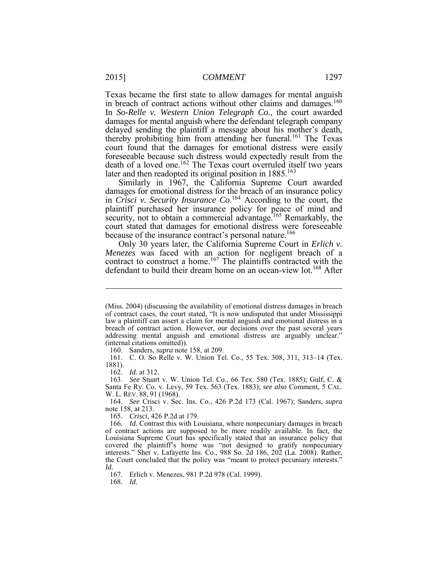Texas became the first state to allow damages for mental anguish in breach of contract actions without other claims and damages.<sup>160</sup> delayed sending the plaintiff a message about his mother's death, thereby prohibiting him from attending her funeral.<sup>161</sup> The Texas foreseeable because such distress would expectedly result from the death of a loved one.<sup>162</sup> The Texas court overruled itself two years later and then readopted its original position in 1885.<sup>163</sup> In *So-Relle v. Western Union Telegraph Co*., the court awarded damages for mental anguish where the defendant telegraph company court found that the damages for emotional distress were easily

 Similarly in 1967, the California Supreme Court awarded Ì security, not to obtain a commercial advantage.<sup>165</sup> Remarkably, the court stated that damages for emotional distress were foreseeable because of the insurance contract's personal nature.<sup>166</sup> damages for emotional distress for the breach of an insurance policy in *Crisci v. Security Insurance Co*. 164 According to the court, the plaintiff purchased her insurance policy for peace of mind and

Only 30 years later, the California Supreme Court in *Erlich v. Menezes* was faced with an action for negligent breach of a contract to construct a home.<sup>167</sup> The plaintiffs contracted with the defendant to build their dream home on an ocean-view lot.<sup>168</sup> After

160. Sanders, *supra* note 158, at 209.

 161. C. O. So Relle v. W. Union Tel. Co., 55 Tex. 308, 311, 313–14 (Tex. 1881).

162. *Id.* at 312.

 $\overline{a}$ 

 163. *See* Stuart v. W. Union Tel. Co., 66 Tex. 580 (Tex. 1885); Gulf, C. & W. L. REV. 88, 91 (1968). Santa Fe Ry. Co. v. Levy, 59 Tex. 563 (Tex. 1883); *see also* Comment, 5 CAL.

 164. *See* Crisci v. Sec. Ins. Co., 426 P.2d 173 (Cal. 1967); Sanders, *supra*  note 158, at 213.

165. *Crisci*, 426 P.2d at 179.

166. Id. Contrast this with Louisiana, where nonpecuniary damages in breach of contract actions are supposed to be more readily available. In fact, the Louisiana Supreme Court has specifically stated that an insurance policy that covered the plaintiff's home was "not designed to gratify nonpecuniary interests." Sher v. Lafayette Ins. Co., 988 So. 2d 186, 202 (La. 2008). Rather, the Court concluded that the policy was "meant to protect pecuniary interests." *Id.* 

167. Erlich v. Menezes, 981 P.2d 978 (Cal. 1999).

168. *Id.* 

 (Miss. 2004) (discussing the availability of emotional distress damages in breach of contract cases, the court stated, "It is now undisputed that under Mississippi law a plaintiff can assert a claim for mental anguish and emotional distress in a addressing mental anguish and emotional distress are arguably unclear." breach of contract action. However, our decisions over the past several years (internal citations omitted)).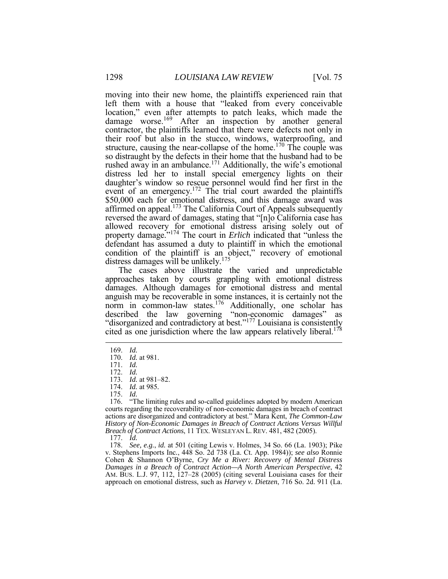moving into their new home, the plaintiffs experienced rain that location," even after attempts to patch leaks, which made the contractor, the plaintiffs learned that there were defects not only in their roof but also in the stucco, windows, waterproofing, and structure, causing the near-collapse of the home.<sup>170</sup> The couple was so distraught by the defects in their home that the husband had to be rushed away in an ambulance.<sup>171</sup> Additionally, the wife's emotional distress led her to install special emergency lights on their reversed the award of damages, stating that "[n]o California case has allowed recovery for emotional distress arising solely out of defendant has assumed a duty to plaintiff in which the emotional condition of the plaintiff is an object," recovery of emotional distress damages will be unlikely.<sup>175</sup> left them with a house that "leaked from every conceivable damage worse.<sup>169</sup> After an inspection by another general daughter's window so rescue personnel would find her first in the event of an emergency.<sup>172</sup> The trial court awarded the plaintiffs \$50,000 each for emotional distress, and this damage award was affirmed on appeal.173 The California Court of Appeals subsequently property damage."174 The court in *Erlich* indicated that "unless the

 damages. Although damages for emotional distress and mental cited as one jurisdiction where the law appears relatively liberal.<sup>178</sup> The cases above illustrate the varied and unpredictable approaches taken by courts grappling with emotional distress anguish may be recoverable in some instances, it is certainly not the norm in common-law states.<sup>176</sup> Additionally, one scholar has described the law governing "non-economic damages" as "disorganized and contradictory at best."177 Louisiana is consistently

 $\overline{a}$ 

 178. *See, e.g.*, *id.* at 501 (citing Lewis v. Holmes, 34 So. 66 (La. 1903); Pike approach on emotional distress, such as *Harvey v. Dietzen*, 716 So. 2d. 911 (La. v. Stephens Imports Inc*.*, 448 So. 2d 738 (La. Ct. App. 1984)); *see also* Ronnie Cohen & Shannon O'Byrne, *Cry Me a River: Recovery of Mental Distress Damages in a Breach of Contract Action—A North American Perspective*, 42 AM. BUS. L.J. 97, 112, 127–28 (2005) (citing several Louisiana cases for their

<sup>169.</sup> *Id.* 

 170. *Id.* at 981.

<sup>171.</sup> *Id.* 

<sup>172.</sup> *Id.* 

<sup>173.</sup> *Id.* at 981–82.

<sup>174.</sup> *Id.* at 985*.* 175. *Id.* 

 176. "The limiting rules and so-called guidelines adopted by modern American courts regarding the recoverability of non-economic damages in breach of contract actions are disorganized and contradictory at best." Mara Kent, *The Common-Law History of Non-Economic Damages in Breach of Contract Actions Versus Willful Breach of Contract Actions*, 11 TEX. WESLEYAN L. REV. 481, 482 (2005).

 177. *Id.*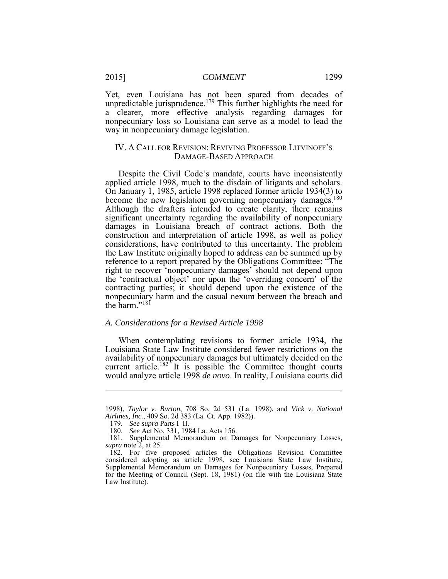Yet, even Louisiana has not been spared from decades of unpredictable jurisprudence.<sup>179</sup> This further highlights the need for a clearer, more effective analysis regarding damages for nonpecuniary loss so Louisiana can serve as a model to lead the way in nonpecuniary damage legislation.

## IV. A CALL FOR REVISION: REVIVING PROFESSOR LITVINOFF'S DAMAGE-BASED APPROACH

 Despite the Civil Code's mandate, courts have inconsistently damages in Louisiana breach of contract actions. Both the the Law Institute originally hoped to address can be summed up by contracting parties; it should depend upon the existence of the applied article 1998, much to the disdain of litigants and scholars. On January 1, 1985, article 1998 replaced former article 1934(3) to become the new legislation governing nonpecuniary damages.<sup>180</sup> Although the drafters intended to create clarity, there remains significant uncertainty regarding the availability of nonpecuniary construction and interpretation of article 1998, as well as policy considerations, have contributed to this uncertainty. The problem reference to a report prepared by the Obligations Committee: "The right to recover 'nonpecuniary damages' should not depend upon the 'contractual object' nor upon the 'overriding concern' of the nonpecuniary harm and the casual nexum between the breach and the harm."<sup>181</sup>

#### *A. Considerations for a Revised Article 1998*

 Louisiana State Law Institute considered fewer restrictions on the When contemplating revisions to former article 1934, the availability of nonpecuniary damages but ultimately decided on the current article.<sup>182</sup> It is possible the Committee thought courts would analyze article 1998 *de novo*. In reality, Louisiana courts did

 1998), *Taylor v. Burton*, 708 So. 2d 531 (La. 1998), and *Vick v. National Airlines, Inc.*, 409 So. 2d 383 (La. Ct. App. 1982)).

 179. *See supra* Parts I–II.

 180. *See* Act No. 331, 1984 La. Acts 156.

 181. Supplemental Memorandum on Damages for Nonpecuniary Losses, *supra* note 2, at 25.

 considered adopting as article 1998, see Louisiana State Law Institute, Supplemental Memorandum on Damages for Nonpecuniary Losses, Prepared 182. For five proposed articles the Obligations Revision Committee for the Meeting of Council (Sept. 18, 1981) (on file with the Louisiana State Law Institute).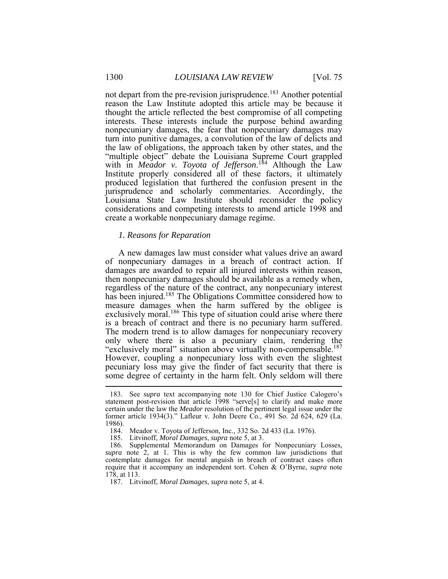reason the Law Institute adopted this article may be because it turn into punitive damages, a convolution of the law of delicts and the law of obligations, the approach taken by other states, and the "multiple object" debate the Louisiana Supreme Court grappled Institute properly considered all of these factors, it ultimately jurisprudence and scholarly commentaries. Accordingly, the create a workable nonpecuniary damage regime. not depart from the pre-revision jurisprudence.<sup>183</sup> Another potential thought the article reflected the best compromise of all competing interests. These interests include the purpose behind awarding nonpecuniary damages, the fear that nonpecuniary damages may with in *Meador v. Toyota of Jefferson*. <sup>184</sup> Although the Law produced legislation that furthered the confusion present in the Louisiana State Law Institute should reconsider the policy considerations and competing interests to amend article 1998 and

#### *1. Reasons for Reparation*

 then nonpecuniary damages should be available as a remedy when, has been injured.<sup>185</sup> The Obligations Committee considered how to is a breach of contract and there is no pecuniary harm suffered. The modern trend is to allow damages for nonpecuniary recovery pecuniary loss may give the finder of fact security that there is A new damages law must consider what values drive an award of nonpecuniary damages in a breach of contract action. If damages are awarded to repair all injured interests within reason, regardless of the nature of the contract, any nonpecuniary interest measure damages when the harm suffered by the obligee is exclusively moral.<sup>186</sup> This type of situation could arise where there only where there is also a pecuniary claim, rendering the "exclusively moral" situation above virtually non-compensable.<sup>187</sup> However, coupling a nonpecuniary loss with even the slightest some degree of certainty in the harm felt. Only seldom will there

 statement post-revision that article 1998 "serve[s] to clarify and make more 183. See *supra* text accompanying note 130 for Chief Justice Calogero's certain under the law the *Meador* resolution of the pertinent legal issue under the former article 1934(3)." Lafleur v. John Deere Co., 491 So. 2d 624, 629 (La. 1986).

<sup>184.</sup> Meador v. Toyota of Jefferson, Inc., 332 So. 2d 433 (La. 1976).

<sup>185.</sup> Litvinoff, *Moral Damages*, *supra* note 5, at 3.

 186. Supplemental Memorandum on Damages for Nonpecuniary Losses, *supra* note 2, at 1. This is why the few common law jurisdictions that require that it accompany an independent tort. Cohen & O'Byrne, *supra* note contemplate damages for mental anguish in breach of contract cases often 178, at 113.

<sup>187.</sup> Litvinoff, *Moral Damages*, *supra* note 5, at 4.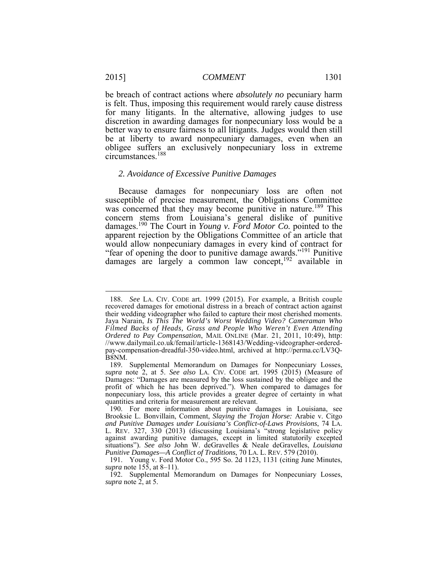is felt. Thus, imposing this requirement would rarely cause distress for many litigants. In the alternative, allowing judges to use better way to ensure fairness to all litigants. Judges would then still be at liberty to award nonpecuniary damages, even when an be breach of contract actions where *absolutely no* pecuniary harm discretion in awarding damages for nonpecuniary loss would be a obligee suffers an exclusively nonpecuniary loss in extreme circumstances.188

#### *2. Avoidance of Excessive Punitive Damages*

 susceptible of precise measurement, the Obligations Committee was concerned that they may become punitive in nature.<sup>189</sup> This concern stems from Louisiana's general dislike of punitive apparent rejection by the Obligations Committee of an article that "fear of opening the door to punitive damage awards."<sup>191</sup> Punitive damages are largely a common law concept,<sup>192</sup> available in Because damages for nonpecuniary loss are often not damages.<sup>190</sup> The Court in *Young v. Ford Motor Co.* pointed to the would allow nonpecuniary damages in every kind of contract for

 $\overline{a}$ 

 recovered damages for emotional distress in a breach of contract action against their wedding videographer who failed to capture their most cherished moments.  Jaya Narain, *Is This The World's Worst Wedding Video? Cameraman Who Filmed Backs of Heads, Grass and People Who Weren't Even Attending Ordered to Pay Compensation*, MAIL ONLINE (Mar. 21, 2011, 10:49), http: 188. *See* LA. CIV. CODE art. 1999 (2015). For example, a British couple //www.dailymail.co.uk/femail/article-1368143/Wedding-videographer-orderedpay-compensation-dreadful-350-video.html, archived at http://perma.cc/LV3Q-B8NM.

 189. Supplemental Memorandum on Damages for Nonpecuniary Losses, *supra* note 2, at 5. *See also* LA. CIV. CODE art. 1995 (2015) (Measure of Damages: "Damages are measured by the loss sustained by the obligee and the nonpecuniary loss, this article provides a greater degree of certainty in what profit of which he has been deprived."). When compared to damages for quantities and criteria for measurement are relevant.

 190. For more information about punitive damages in Louisiana, see Brooksie L. Bonvillain, Comment, *Slaying the Trojan Horse:* Arabie v. Citgo L. REV. 327, 330 (2013) (discussing Louisiana's "strong legislative policy situations"). *See also* John W. deGravelles & Neale deGravelles, *Louisiana Punitive Damages—A Conflict of Traditions*, 70 LA. L. REV. 579 (2010). *and Punitive Damages under Louisiana's Conflict-of-Laws Provisions*, 74 LA. against awarding punitive damages, except in limited statutorily excepted

 191. Young v. Ford Motor Co., 595 So. 2d 1123, 1131 (citing June Minutes, *supra* note 155, at 8–11).

 192. Supplemental Memorandum on Damages for Nonpecuniary Losses, *supra* note 2, at 5.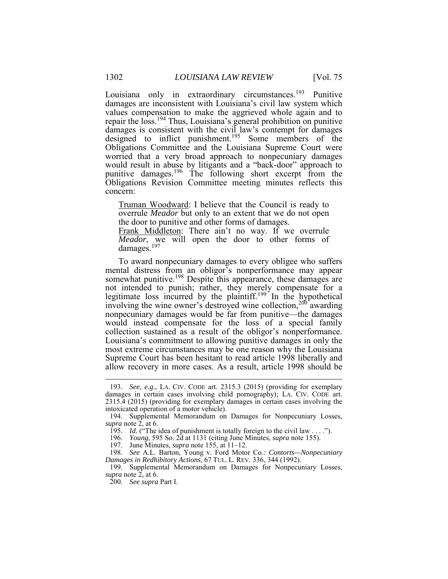Louisiana only in extraordinary circumstances.<sup>193</sup> Punitive Obligations Committee and the Louisiana Supreme Court were worried that a very broad approach to nonpecuniary damages would result in abuse by litigants and a "back-door" approach to damages are inconsistent with Louisiana's civil law system which values compensation to make the aggrieved whole again and to repair the loss.<sup>194</sup> Thus, Louisiana's general prohibition on punitive damages is consistent with the civil law's contempt for damages designed to inflict punishment.195 Some members of the punitive damages.<sup>196</sup> The following short excerpt from the Obligations Revision Committee meeting minutes reflects this concern:

Truman Woodward: I believe that the Council is ready to overrule *Meador* but only to an extent that we do not open the door to punitive and other forms of damages.

Frank Middleton: There ain't no way. If we overrule damages.<sup>197</sup> *Meador*, we will open the door to other forms of

 To award nonpecuniary damages to every obligee who suffers not intended to punish; rather, they merely compensate for a legitimate loss incurred by the plaintiff.<sup>199</sup> In the hypothetical would instead compensate for the loss of a special family most extreme circumstances may be one reason why the Louisiana mental distress from an obligor's nonperformance may appear somewhat punitive.<sup>198</sup> Despite this appearance, these damages are involving the wine owner's destroyed wine collection,<sup>200</sup> awarding nonpecuniary damages would be far from punitive—the damages collection sustained as a result of the obligor's nonperformance. Louisiana's commitment to allowing punitive damages in only the Supreme Court has been hesitant to read article 1998 liberally and allow recovery in more cases. As a result, article 1998 should be

 2315.4 (2015) (providing for exemplary damages in certain cases involving the 193. *See, e.g.*, LA. CIV. CODE art. 2315.3 (2015) (providing for exemplary damages in certain cases involving child pornography); LA. CIV. CODE art. intoxicated operation of a motor vehicle).

<sup>194.</sup> Supplemental Memorandum on Damages for Nonpecuniary Losses, *supra* note 2, at 6.

<sup>195.</sup> *Id.* ("The idea of punishment is totally foreign to the civil law . . . .").

 196. *Young*, 595 So. 2d at 1131 (citing June Minutes, *supra* note 155).

 197. June Minutes, *supra* note 155, at 11–12.

 *Damages in Redhibitory Actions*, 67 TUL. L. REV. 336, 344 (1992). 198. *See* A.L. Barton, Young v. Ford Motor Co*.: Contorts—Nonpecuniary* 

 199. Supplemental Memorandum on Damages for Nonpecuniary Losses, *supra* note 2, at 6.

<sup>200.</sup> *See supra* Part I.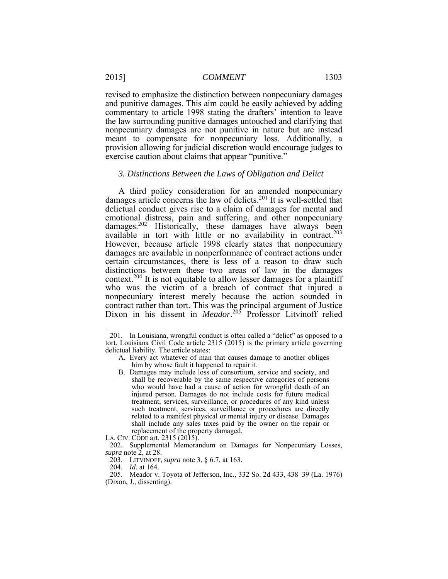revised to emphasize the distinction between nonpecuniary damages and punitive damages. This aim could be easily achieved by adding meant to compensate for nonpecuniary loss. Additionally, a provision allowing for judicial discretion would encourage judges to commentary to article 1998 stating the drafters' intention to leave the law surrounding punitive damages untouched and clarifying that nonpecuniary damages are not punitive in nature but are instead exercise caution about claims that appear "punitive."

#### *3. Distinctions Between the Laws of Obligation and Delict*

damages article concerns the law of delicts.<sup>201</sup> It is well-settled that damages.<sup>202</sup> Historically, these damages have always been available in tort with little or no availability in contract.<sup>203</sup> However, because article 1998 clearly states that nonpecuniary certain circumstances, there is less of a reason to draw such context.<sup>204</sup> It is not equitable to allow lesser damages for a plaintiff who was the victim of a breach of contract that injured a A third policy consideration for an amended nonpecuniary delictual conduct gives rise to a claim of damages for mental and emotional distress, pain and suffering, and other nonpecuniary damages are available in nonperformance of contract actions under distinctions between these two areas of law in the damages nonpecuniary interest merely because the action sounded in contract rather than tort. This was the principal argument of Justice Dixon in his dissent in *Meador*. <sup>205</sup> Professor Litvinoff relied

LA. CIV. CODE art. 2315 (2015).

 202. Supplemental Memorandum on Damages for Nonpecuniary Losses, *supra* note 2, at 28.

203. LITVINOFF, *supra* note 3, § 6.7, at 163.

204. *Id.* at 164.

 $\overline{a}$ 

205. Meador v. Toyota of Jefferson, Inc., 332 So. 2d 433, 438–39 (La. 1976) (Dixon, J., dissenting).

<sup>201.</sup> In Louisiana, wrongful conduct is often called a "delict" as opposed to a tort. Louisiana Civil Code article 2315 (2015) is the primary article governing delictual liability. The article states:

 A. Every act whatever of man that causes damage to another obliges him by whose fault it happened to repair it.

 shall be recoverable by the same respective categories of persons treatment, services, surveillance, or procedures of any kind unless related to a manifest physical or mental injury or disease. Damages shall include any sales taxes paid by the owner on the repair or replacement of the property damaged. B. Damages may include loss of consortium, service and society, and who would have had a cause of action for wrongful death of an injured person. Damages do not include costs for future medical such treatment, services, surveillance or procedures are directly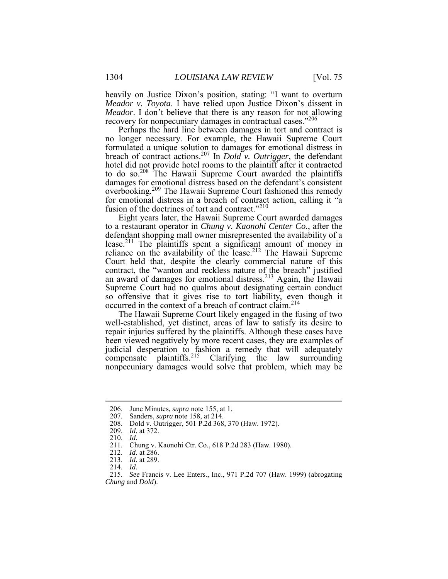heavily on Justice Dixon's position, stating: "I want to overturn *Meador*. I don't believe that there is any reason for not allowing *Meador v. Toyota*. I have relied upon Justice Dixon's dissent in recovery for nonpecuniary damages in contractual cases."<sup>206</sup>

 Perhaps the hard line between damages in tort and contract is formulated a unique solution to damages for emotional distress in breach of contract actions.207 In *Dold v. Outrigger*, the defendant for emotional distress in a breach of contract action, calling it "a fusion of the doctrines of tort and contract."<sup>210</sup> no longer necessary. For example, the Hawaii Supreme Court hotel did not provide hotel rooms to the plaintiff after it contracted to do so.208 The Hawaii Supreme Court awarded the plaintiffs damages for emotional distress based on the defendant's consistent overbooking.<sup>209</sup> The Hawaii Supreme Court fashioned this remedy

 Eight years later, the Hawaii Supreme Court awarded damages to a restaurant operator in *Chung v. Kaonohi Center Co.*, after the Court held that, despite the clearly commercial nature of this Supreme Court had no qualms about designating certain conduct occurred in the context of a breach of contract claim.<sup>214</sup> defendant shopping mall owner misrepresented the availability of a lease.<sup>211</sup> The plaintiffs spent a significant amount of money in reliance on the availability of the lease.<sup>212</sup> The Hawaii Supreme contract, the "wanton and reckless nature of the breach" justified an award of damages for emotional distress.213 Again, the Hawaii so offensive that it gives rise to tort liability, even though it

 The Hawaii Supreme Court likely engaged in the fusing of two well-established, yet distinct, areas of law to satisfy its desire to been viewed negatively by more recent cases, they are examples of repair injuries suffered by the plaintiffs. Although these cases have judicial desperation to fashion a remedy that will adequately compensate plaintiffs.<sup>215</sup> Clarifying the law surrounding nonpecuniary damages would solve that problem, which may be

<sup>206.</sup> June Minutes, *supra* note 155, at 1.

 207. Sanders, *supra* note 158, at 214.

<sup>208.</sup> Dold v. Outrigger, 501 P.2d 368, 370 (Haw. 1972).

<sup>209.</sup> *Id.* at 372.

<sup>210.</sup> *Id.* 

 211. Chung v. Kaonohi Ctr. Co., 618 P.2d 283 (Haw. 1980).

 212. *Id.* at 286.

 213. *Id.* at 289.

<sup>214.</sup> *Id.* 

 215. *See* Francis v. Lee Enters., Inc., 971 P.2d 707 (Haw. 1999) (abrogating *Chung* and *Dold*).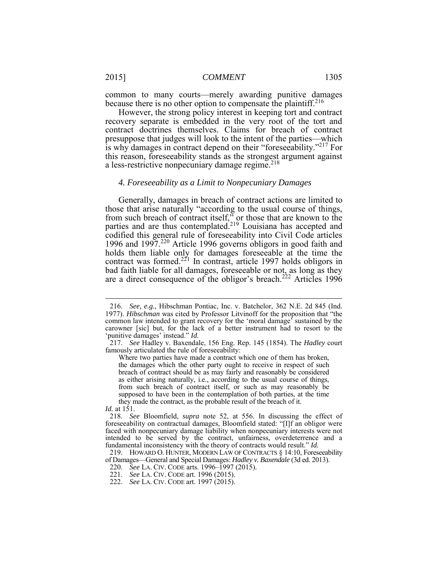common to many courts—merely awarding punitive damages because there is no other option to compensate the plaintiff.<sup>216</sup>

 However, the strong policy interest in keeping tort and contract recovery separate is embedded in the very root of the tort and a less-restrictive nonpecuniary damage regime.<sup>218</sup> contract doctrines themselves. Claims for breach of contract presuppose that judges will look to the intent of the parties—which is why damages in contract depend on their "foreseeability."217 For this reason, foreseeability stands as the strongest argument against

#### *4. Foreseeability as a Limit to Nonpecuniary Damages*

 those that arise naturally "according to the usual course of things, parties and are thus contemplated.<sup>219</sup> Louisiana has accepted and holds them liable only for damages foreseeable at the time the are a direct consequence of the obligor's breach.<sup>222</sup> Articles 1996 Generally, damages in breach of contract actions are limited to from such breach of contract itself," or those that are known to the codified this general rule of foreseeability into Civil Code articles 1996 and 1997.<sup>220</sup> Article 1996 governs obligors in good faith and contract was formed.<sup>221</sup> In contrast, article 1997 holds obligors in bad faith liable for all damages, foreseeable or not, as long as they

 $\overline{a}$ 

 1977). *Hibschman* was cited by Professor Litvinoff for the proposition that "the common law intended to grant recovery for the 'moral damage' sustained by the 216. *See, e.g.*, Hibschman Pontiac, Inc. v. Batchelor, 362 N.E. 2d 845 (Ind. carowner [sic] but, for the lack of a better instrument had to resort to the 'punitive damages' instead." *Id.* 

<sup>217.</sup> *See* Hadley v. Baxendale, 156 Eng. Rep. 145 (1854). The *Hadley* court famously articulated the rule of foreseeability:

 Where two parties have made a contract which one of them has broken, the damages which the other party ought to receive in respect of such breach of contract should be as may fairly and reasonably be considered from such breach of contract itself, or such as may reasonably be supposed to have been in the contemplation of both parties, at the time as either arising naturally, i.e., according to the usual course of things, they made the contract, as the probable result of the breach of it.

*Id.* at 151.

 218. *See* Bloomfield, *supra* note 52, at 556. In discussing the effect of foreseeability on contractual damages, Bloomfield stated: "[I]f an obligor were intended to be served by the contract, unfairness, overdeterrence and a fundamental inconsistency with the theory of contracts would result." *Id.*  faced with nonpecuniary damage liability when nonpecuniary interests were not

<sup>219.</sup> HOWARD O. HUNTER, MODERN LAW OF CONTRACTS § 14:10, Foreseeability of Damages—General and Special Damages: *Hadley v. Baxendale* (3d ed. 2013).

 220. *See* LA. CIV. CODE arts. 1996–1997 (2015).

<sup>221.</sup> *See* LA. CIV. CODE art. 1996 (2015).

<sup>222.</sup> *See* LA. CIV. CODE art. 1997 (2015).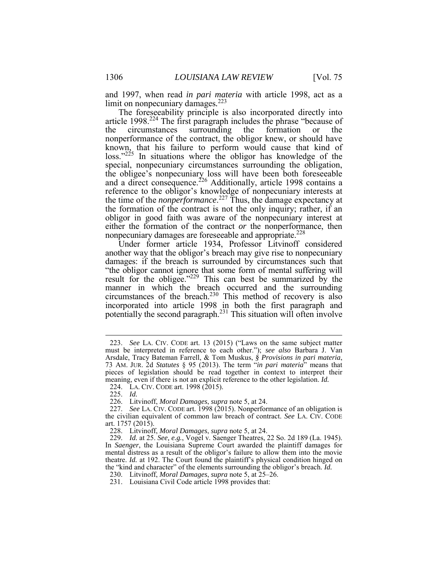and 1997, when read *in pari materia* with article 1998, act as a limit on nonpecuniary damages*.*  223

 The foreseeability principle is also incorporated directly into article 1998.<sup>224</sup> The first paragraph includes the phrase "because of nonperformance of the contract, the obligor knew, or should have the time of the *nonperformance*. 227 Thus, the damage expectancy at the formation of the contract is not the only inquiry; rather, if an obligor in good faith was aware of the nonpecuniary interest at nonpecuniary damages are foreseeable and appropriate.<sup>228</sup> the circumstances surrounding the formation or the known, that his failure to perform would cause that kind of loss."<sup>225</sup> In situations where the obligor has knowledge of the special, nonpecuniary circumstances surrounding the obligation, the obligee's nonpecuniary loss will have been both foreseeable and a direct consequence.<sup>226</sup> Additionally, article 1998 contains a reference to the obligor's knowledge of nonpecuniary interests at either the formation of the contract *or* the nonperformance, then

 another way that the obligor's breach may give rise to nonpecuniary Ì Under former article 1934, Professor Litvinoff considered damages: if the breach is surrounded by circumstances such that "the obligor cannot ignore that some form of mental suffering will result for the obligee." $229$  This can best be summarized by the manner in which the breach occurred and the surrounding circumstances of the breach.<sup>230</sup> This method of recovery is also incorporated into article 1998 in both the first paragraph and potentially the second paragraph.<sup>231</sup> This situation will often involve

225. *Id.* 

 $\overline{a}$ 

 Arsdale, Tracy Bateman Farrell, & Tom Muskus, *§ Provisions in pari materia*, 73 AM. JUR. 2d *Statutes* § 95 (2013). The term "*in pari materia*" means that meaning, even if there is not an explicit reference to the other legislation. *Id.*  223. *See* LA. CIV. CODE art. 13 (2015) ("Laws on the same subject matter must be interpreted in reference to each other."); *see also* Barbara J. Van pieces of legislation should be read together in context to interpret their

 224. LA. CIV. CODE art. 1998 (2015).

<sup>226.</sup> Litvinoff, *Moral Damages*, *supra* note 5, at 24.

 the civilian equivalent of common law breach of contract. *See* LA. CIV. CODE 227. *See* LA. CIV. CODE art. 1998 (2015). Nonperformance of an obligation is art. 1757 (2015).

<sup>228.</sup> Litvinoff, *Moral Damages*, *supra* note 5, at 24.

 In *Saenger*, the Louisiana Supreme Court awarded the plaintiff damages for the "kind and character" of the elements surrounding the obligor's breach. *Id.* 230. Litvinoff, *Moral Damages*, *supra* note 5, at 25–26. 229. *Id.* at 25. *See, e.g.*, Vogel v. Saenger Theatres, 22 So. 2d 189 (La. 1945). mental distress as a result of the obligor's failure to allow them into the movie theatre. *Id.* at 192. The Court found the plaintiff's physical condition hinged on

 231. Louisiana Civil Code article 1998 provides that: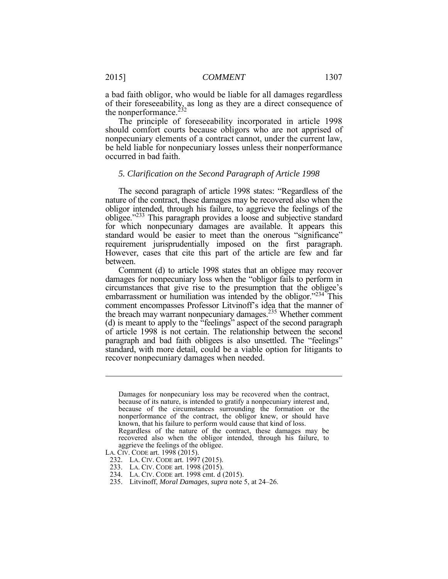a bad faith obligor, who would be liable for all damages regardless Ì of their foreseeability, as long as they are a direct consequence of the nonperformance.<sup>232</sup>

The principle of foreseeability incorporated in article 1998 should comfort courts because obligors who are not apprised of nonpecuniary elements of a contract cannot, under the current law, be held liable for nonpecuniary losses unless their nonperformance occurred in bad faith.

#### *5. Clarification on the Second Paragraph of Article 1998*

 The second paragraph of article 1998 states: "Regardless of the nature of the contract, these damages may be recovered also when the obligor intended, through his failure, to aggrieve the feelings of the obligee."<sup>233</sup> This paragraph provides a loose and subjective standard standard would be easier to meet than the onerous "significance" requirement jurisprudentially imposed on the first paragraph. However, cases that cite this part of the article are few and far for which nonpecuniary damages are available. It appears this between.

 Comment (d) to article 1998 states that an obligee may recover damages for nonpecuniary loss when the "obligor fails to perform in circumstances that give rise to the presumption that the obligee's embarrassment or humiliation was intended by the obligor."<sup>234</sup> This comment encompasses Professor Litvinoff's idea that the manner of the breach may warrant nonpecuniary damages.<sup>235</sup> Whether comment (d) is meant to apply to the "feelings" aspect of the second paragraph of article 1998 is not certain. The relationship between the second standard, with more detail, could be a viable option for litigants to paragraph and bad faith obligees is also unsettled. The "feelings" recover nonpecuniary damages when needed.

- 233. LA. CIV. CODE art. 1998 (2015).
- 234. LA. CIV. CODE art. 1998 cmt. d (2015).
- 235. Litvinoff, *Moral Damages*, *supra* note 5, at 24–26.

 Damages for nonpecuniary loss may be recovered when the contract, because of its nature, is intended to gratify a nonpecuniary interest and, known, that his failure to perform would cause that kind of loss. Regardless of the nature of the contract, these damages may be recovered also when the obligor intended, through his failure, to aggrieve the feelings of the obligee. because of the circumstances surrounding the formation or the nonperformance of the contract, the obligor knew, or should have

 LA. CIV. CODE art. 1998 (2015).

 232. LA. CIV. CODE art. 1997 (2015).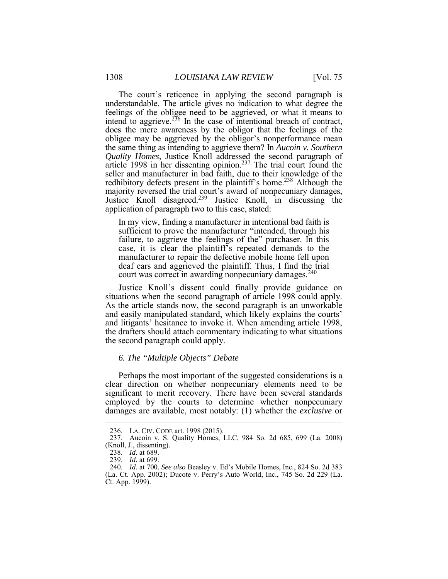The court's reticence in applying the second paragraph is feelings of the obligee need to be aggrieved, or what it means to intend to aggrieve. $236$  In the case of intentional breach of contract, does the mere awareness by the obligor that the feelings of the obligee may be aggrieved by the obligor's nonperformance mean Justice Knoll disagreed.<sup>239</sup> Justice Knoll, in discussing the understandable. The article gives no indication to what degree the the same thing as intending to aggrieve them? In *Aucoin v. Southern Quality Homes*, Justice Knoll addressed the second paragraph of article 1998 in her dissenting opinion.<sup>237</sup> The trial court found the seller and manufacturer in bad faith, due to their knowledge of the redhibitory defects present in the plaintiff's home.<sup>238</sup> Although the majority reversed the trial court's award of nonpecuniary damages, application of paragraph two to this case, stated:

 In my view, finding a manufacturer in intentional bad faith is sufficient to prove the manufacturer "intended, through his failure, to aggrieve the feelings of the" purchaser. In this case, it is clear the plaintiff's repeated demands to the manufacturer to repair the defective mobile home fell upon deaf ears and aggrieved the plaintiff. Thus, I find the trial court was correct in awarding nonpecuniary damages.<sup>240</sup>

 Justice Knoll's dissent could finally provide guidance on the drafters should attach commentary indicating to what situations situations when the second paragraph of article 1998 could apply. As the article stands now, the second paragraph is an unworkable and easily manipulated standard, which likely explains the courts' and litigants' hesitance to invoke it. When amending article 1998, the second paragraph could apply.

# *6. The "Multiple Objects" Debate*

 Perhaps the most important of the suggested considerations is a damages are available, most notably: (1) whether the *exclusive* or clear direction on whether nonpecuniary elements need to be significant to merit recovery. There have been several standards employed by the courts to determine whether nonpecuniary

 $\overline{a}$ 

<sup>236.</sup> LA. CIV. CODE art. 1998 (2015).

 237. Aucoin v. S. Quality Homes, LLC, 984 So. 2d 685, 699 (La. 2008) (Knoll, J., dissenting).

 238. *Id.* at 689.

<sup>239.</sup> *Id.* at 699.

 240. *Id.* at 700. *See also* Beasley v. Ed's Mobile Homes, Inc., 824 So. 2d 383 (La. Ct. App. 2002); Ducote v. Perry's Auto World, Inc., 745 So. 2d 229 (La. Ct. App. 1999).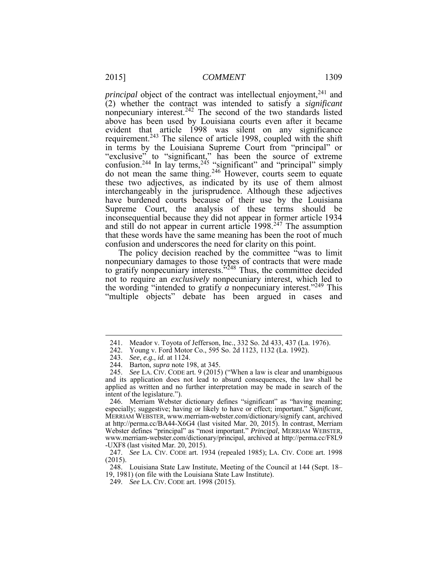(2) whether the contract was intended to satisfy a *significant*  nonpecuniary interest.<sup>242</sup> The second of the two standards listed requirement.<sup>243</sup> The silence of article 1998, coupled with the shift in terms by the Louisiana Supreme Court from "principal" or these two adjectives, as indicated by its use of them almost have burdened courts because of their use by the Louisiana *principal* object of the contract was intellectual enjoyment,<sup>241</sup> and above has been used by Louisiana courts even after it became evident that article 1998 was silent on any significance "exclusive" to "significant," has been the source of extreme confusion.<sup>244</sup> In lay terms,<sup>245</sup> "significant" and "principal" simply do not mean the same thing.<sup>246</sup> However, courts seem to equate interchangeably in the jurisprudence. Although these adjectives Supreme Court, the analysis of these terms should be inconsequential because they did not appear in former article 1934 and still do not appear in current article 1998.<sup>247</sup> The assumption that these words have the same meaning has been the root of much confusion and underscores the need for clarity on this point.

The policy decision reached by the committee "was to limit ſ the wording "intended to gratify  $\alpha$  nonpecuniary interest."<sup>249</sup> This "multiple objects" debate has been argued in cases and nonpecuniary damages to those types of contracts that were made to gratify nonpecuniary interests.<sup>5248</sup> Thus, the committee decided not to require an *exclusively* nonpecuniary interest, which led to

<sup>241.</sup> Meador v. Toyota of Jefferson, Inc., 332 So. 2d 433, 437 (La. 1976).

<sup>242.</sup> Young v. Ford Motor Co., 595 So. 2d 1123, 1132 (La. 1992).

 243. *See, e.g.*, *id.* at 1124.

<sup>244.</sup> Barton, *supra* note 198, at 345.

 245. *See* LA. CIV. CODE art. 9 (2015) ("When a law is clear and unambiguous and its application does not lead to absurd consequences, the law shall be applied as written and no further interpretation may be made in search of the intent of the legislature.").

 246. Merriam Webster dictionary defines "significant" as "having meaning; especially; suggestive; having or likely to have or effect; important." *Significant*, at http://perma.cc/BA44-X6G4 (last visited Mar. 20, 2015). In contrast, Merriam MERRIAM WEBSTER, www.merriam-webster.com/dictionary/signify cant, archived Webster defines "principal" as "most important." *Principal*, MERRIAM WEBSTER, www.merriam-webster.com/dictionary/principal, archived at http://perma.cc/F8L9 -UXF8 (last visited Mar. 20, 2015).

 247. *See* LA. CIV. CODE art. 1934 (repealed 1985); LA. CIV. CODE art. 1998 (2015).

 248. Louisiana State Law Institute, Meeting of the Council at 144 (Sept. 18– 19, 1981) (on file with the Louisiana State Law Institute).

 249. *See* LA. CIV. CODE art. 1998 (2015).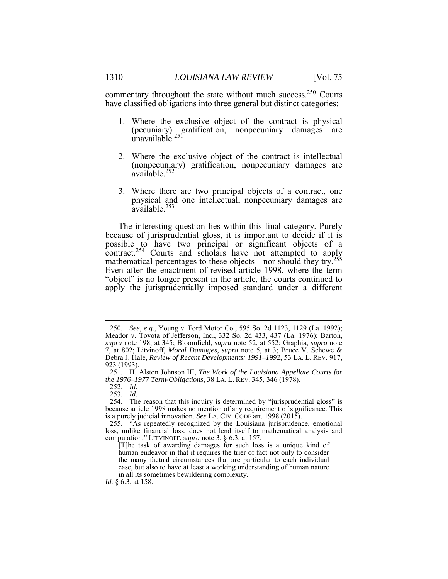commentary throughout the state without much success.<sup>250</sup> Courts have classified obligations into three general but distinct categories:

- 1. Where the exclusive object of the contract is physical Ī (pecuniary) gratification, nonpecuniary damages are unavailable.<sup>251</sup>
- 2. Where the exclusive object of the contract is intellectual (nonpecuniary) gratification, nonpecuniary damages are available.<sup>252</sup>
- 3. Where there are two principal objects of a contract, one physical and one intellectual, nonpecuniary damages are available.<sup>253</sup>

 The interesting question lies within this final category. Purely because of jurisprudential gloss, it is important to decide if it is "object" is no longer present in the article, the courts continued to apply the jurisprudentially imposed standard under a different possible to have two principal or significant objects of a contract.<sup>254</sup> Courts and scholars have not attempted to apply mathematical percentages to these objects—nor should they try.<sup>255</sup> Even after the enactment of revised article 1998, where the term

 Meador v. Toyota of Jefferson, Inc., 332 So. 2d 433, 437 (La. 1976); Barton, 7, at 802; Litvinoff, *Moral Damages*, *supra* note 5, at 3; Bruce V. Schewe & Debra J. Hale, *Review of Recent Developments: 1991–1992*, 53 LA. L. REV. 917, 250. *See, e.g.*, Young v. Ford Motor Co., 595 So. 2d 1123, 1129 (La. 1992); *supra* note 198, at 345; Bloomfield, *supra* note 52, at 552; Graphia, *supra* note 923 (1993).

 251. H. Alston Johnson III, *The Work of the Louisiana Appellate Courts for the 1976–1977 Term-Obligations*, 38 LA. L. REV. 345, 346 (1978).

 252. *Id.* 253. *Id.* 

 is a purely judicial innovation. *See* LA. CIV. CODE art. 1998 (2015). 254. The reason that this inquiry is determined by "jurisprudential gloss" is because article 1998 makes no mention of any requirement of significance. This

 loss, unlike financial loss, does not lend itself to mathematical analysis and 255. "As repeatedly recognized by the Louisiana jurisprudence, emotional computation." LITVINOFF, *supra* note 3, § 6.3, at 157.

 [T]he task of awarding damages for such loss is a unique kind of case, but also to have at least a working understanding of human nature human endeavor in that it requires the trier of fact not only to consider the many factual circumstances that are particular to each individual in all its sometimes bewildering complexity.

*Id.* § 6.3, at 158.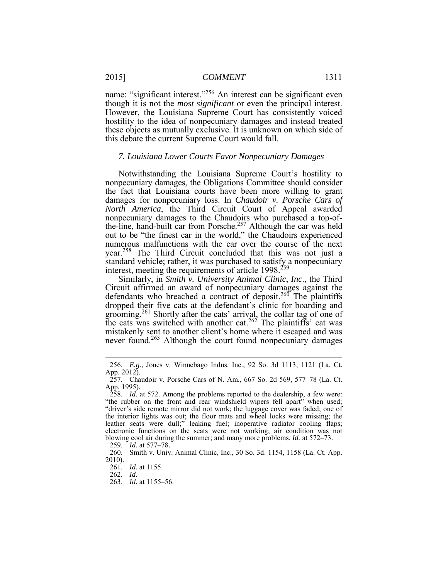name: "significant interest."<sup>256</sup> An interest can be significant even though it is not the *most significant* or even the principal interest. However, the Louisiana Supreme Court has consistently voiced hostility to the idea of nonpecuniary damages and instead treated these objects as mutually exclusive. It is unknown on which side of this debate the current Supreme Court would fall.

#### *7. Louisiana Lower Courts Favor Nonpecuniary Damages*

 Notwithstanding the Louisiana Supreme Court's hostility to the fact that Louisiana courts have been more willing to grant damages for nonpecuniary loss. In *Chaudoir v. Porsche Cars of*  nonpecuniary damages to the Chaudoirs who purchased a top-of-<br>the-line, hand-built car from Porsche.<sup>257</sup> Although the car was held numerous malfunctions with the car over the course of the next standard vehicle; rather, it was purchased to satisfy a nonpecuniary interest, meeting the requirements of article  $1998$ <sup>259</sup> nonpecuniary damages, the Obligations Committee should consider *North America*, the Third Circuit Court of Appeal awarded out to be "the finest car in the world," the Chaudoirs experienced year.<sup>258</sup> The Third Circuit concluded that this was not just a

 Similarly, in *Smith v. University Animal Clinic*, *Inc*., the Third defendants who breached a contract of deposit.<sup>260</sup> The plaintiffs grooming.<sup>261</sup> Shortly after the cats' arrival, the collar tag of one of Circuit affirmed an award of nonpecuniary damages against the dropped their five cats at the defendant's clinic for boarding and the cats was switched with another cat.<sup>262</sup> The plaintiffs' cat was mistakenly sent to another client's home where it escaped and was never found.<sup>263</sup> Although the court found nonpecuniary damages

<sup>256.</sup> *E.g.*, Jones v. Winnebago Indus. Inc., 92 So. 3d 1113, 1121 (La. Ct. App. 2012).

 257. Chaudoir v. Porsche Cars of N. Am., 667 So. 2d 569, 577–78 (La. Ct. App. 1995).

 258. *Id.* at 572. Among the problems reported to the dealership, a few were: "the rubber on the front and rear windshield wipers fell apart" when used; the interior lights was out; the floor mats and wheel locks were missing; the electronic functions on the seats were not working; air condition was not "driver's side remote mirror did not work; the luggage cover was faded; one of leather seats were dull;" leaking fuel; inoperative radiator cooling flaps; blowing cool air during the summer; and many more problems. *Id.* at 572–73.

 259. *Id.* at 577–78.

<sup>260.</sup> Smith v. Univ. Animal Clinic, Inc., 30 So. 3d. 1154, 1158 (La. Ct. App. 2010).

 261. *Id.* at 1155.

<sup>262.</sup> *Id.* 

<sup>263.</sup> *Id.* at 1155–56.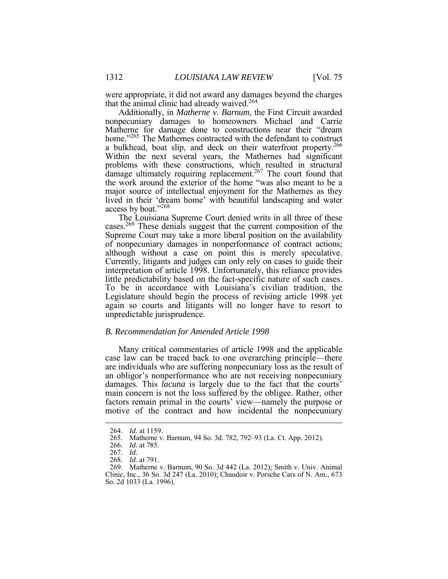were appropriate, it did not award any damages beyond the charges that the animal clinic had already waived.<sup>264</sup>

 Additionally, in *Matherne v. Barnum*, the First Circuit awarded nonpecuniary damages to homeowners Michael and Carrie major source of intellectual enjoyment for the Mathernes as they lived in their 'dream home' with beautiful landscaping and water Matherne for damage done to constructions near their "dream home."<sup>265</sup> The Mathernes contracted with the defendant to construct a bulkhead, boat slip, and deck on their waterfront property.<sup>266</sup> Within the next several years, the Mathernes had significant problems with these constructions, which resulted in structural damage ultimately requiring replacement.<sup>267</sup> The court found that the work around the exterior of the home "was also meant to be a access by boat."268

cases.<sup>269</sup> These denials suggest that the current composition of the Supreme Court may take a more liberal position on the availability Currently, litigants and judges can only rely on cases to guide their interpretation of article 1998. Unfortunately, this reliance provides little predictability based on the fact-specific nature of such cases. again so courts and litigants will no longer have to resort to The Louisiana Supreme Court denied writs in all three of these of nonpecuniary damages in nonperformance of contract actions; although without a case on point this is merely speculative. To be in accordance with Louisiana's civilian tradition, the Legislature should begin the process of revising article 1998 yet unpredictable jurisprudence.

## *B. Recommendation for Amended Article 1998*

 damages. This *lacuna* is largely due to the fact that the courts' Many critical commentaries of article 1998 and the applicable case law can be traced back to one overarching principle—there are individuals who are suffering nonpecuniary loss as the result of an obligor's nonperformance who are not receiving nonpecuniary main concern is not the loss suffered by the obligee. Rather, other factors remain primal in the courts' view—namely the purpose or motive of the contract and how incidental the nonpecuniary

<sup>264.</sup> *Id.* at 1159.

<sup>265.</sup> Matherne v. Barnum, 94 So. 3d. 782, 792–93 (La. Ct. App. 2012).

 266. *Id.* at 785.

 267. *Id.* 268. *Id.* at 791.

 269. Matherne v. Barnum, 90 So. 3d 442 (La. 2012); Smith v. Univ. Animal Clinic, Inc., 36 So. 3d 247 (La. 2010); Chaudoir v. Porsche Cars of N. Am., 673 So. 2d 1033 (La. 1996).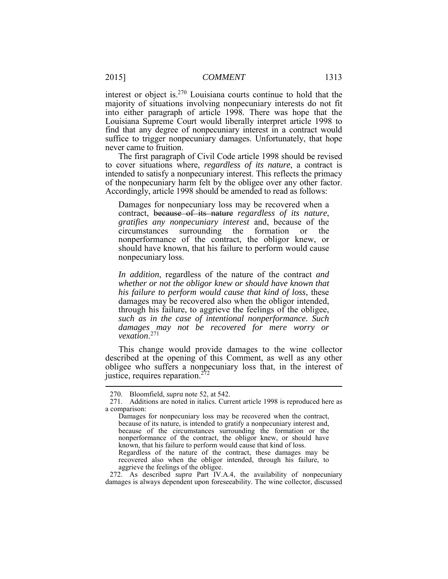interest or object is.<sup>270</sup> Louisiana courts continue to hold that the into either paragraph of article 1998. There was hope that the Louisiana Supreme Court would liberally interpret article 1998 to find that any degree of nonpecuniary interest in a contract would never came to fruition. majority of situations involving nonpecuniary interests do not fit suffice to trigger nonpecuniary damages. Unfortunately, that hope

 The first paragraph of Civil Code article 1998 should be revised intended to satisfy a nonpecuniary interest. This reflects the primacy of the nonpecuniary harm felt by the obligee over any other factor. to cover situations where, *regardless of its nature*, a contract is Accordingly, article 1998 should be amended to read as follows:

 Damages for nonpecuniary loss may be recovered when a *gratifies any nonpecuniary interest* and, because of the circumstances surrounding the formation or the nonperformance of the contract, the obligor knew, or nonpecuniary loss. contract, because of its nature *regardless of its nature*, should have known, that his failure to perform would cause

 through his failure, to aggrieve the feelings of the obligee, *In addition*, regardless of the nature of the contract *and whether or not the obligor knew or should have known that his failure to perform would cause that kind of loss*, these damages may be recovered also when the obligor intended, *such as in the case of intentional nonperformance. Such damages may not be recovered for mere worry or vexation*.<sup>271</sup>

 described at the opening of this Comment, as well as any other This change would provide damages to the wine collector obligee who suffers a nonpecuniary loss that, in the interest of justice, requires reparation.<sup>272</sup>

<u>.</u>

272. As described *supra* Part IV.A.4, the availability of nonpecuniary damages is always dependent upon foreseeability. The wine collector, discussed

<sup>270.</sup> Bloomfield, *supra* note 52, at 542.

 271. Additions are noted in italics. Current article 1998 is reproduced here as a comparison:

 Damages for nonpecuniary loss may be recovered when the contract, because of its nature, is intended to gratify a nonpecuniary interest and, because of the circumstances surrounding the formation or the nonperformance of the contract, the obligor knew, or should have known, that his failure to perform would cause that kind of loss. Regardless of the nature of the contract, these damages may be

 aggrieve the feelings of the obligee. recovered also when the obligor intended, through his failure, to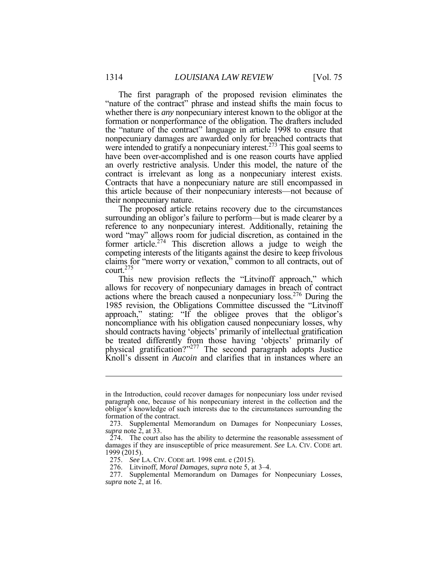"nature of the contract" phrase and instead shifts the main focus to whether there is *any* nonpecuniary interest known to the obligor at the formation or nonperformance of the obligation. The drafters included the "nature of the contract" language in article 1998 to ensure that have been over-accomplished and is one reason courts have applied contract is irrelevant as long as a nonpecuniary interest exists. Contracts that have a nonpecuniary nature are still encompassed in their nonpecuniary nature. The first paragraph of the proposed revision eliminates the nonpecuniary damages are awarded only for breached contracts that were intended to gratify a nonpecuniary interest.<sup>273</sup> This goal seems to an overly restrictive analysis. Under this model, the nature of the this article because of their nonpecuniary interests—not because of

 The proposed article retains recovery due to the circumstances surrounding an obligor's failure to perform—but is made clearer by a former article.<sup>274</sup> This discretion allows a judge to weigh the competing interests of the litigants against the desire to keep frivolous claims for "mere worry or vexation," common to all contracts, out of court. $275$ reference to any nonpecuniary interest. Additionally, retaining the word "may" allows room for judicial discretion, as contained in the

 This new provision reflects the "Litvinoff approach," which actions where the breach caused a nonpecuniary loss.<sup>276</sup> During the approach," stating: "If the obligee proves that the obligor's should contracts having 'objects' primarily of intellectual gratification allows for recovery of nonpecuniary damages in breach of contract 1985 revision, the Obligations Committee discussed the "Litvinoff noncompliance with his obligation caused nonpecuniary losses, why be treated differently from those having 'objects' primarily of physical gratification?"277 The second paragraph adopts Justice Knoll's dissent in *Aucoin* and clarifies that in instances where an

 $\overline{a}$ 

 in the Introduction, could recover damages for nonpecuniary loss under revised paragraph one, because of his nonpecuniary interest in the collection and the obligor's knowledge of such interests due to the circumstances surrounding the formation of the contract.

 273. Supplemental Memorandum on Damages for Nonpecuniary Losses, *supra* note 2, at 33.

 damages if they are insusceptible of price measurement. *See* LA. CIV. CODE art. 274. The court also has the ability to determine the reasonable assessment of 1999 (2015).

 275. *See* LA. CIV. CODE art. 1998 cmt. e (2015).

<sup>276.</sup> Litvinoff, *Moral Damages*, *supra* note 5, at 3–4.

<sup>277.</sup> Supplemental Memorandum on Damages for Nonpecuniary Losses, *supra* note 2, at 16.